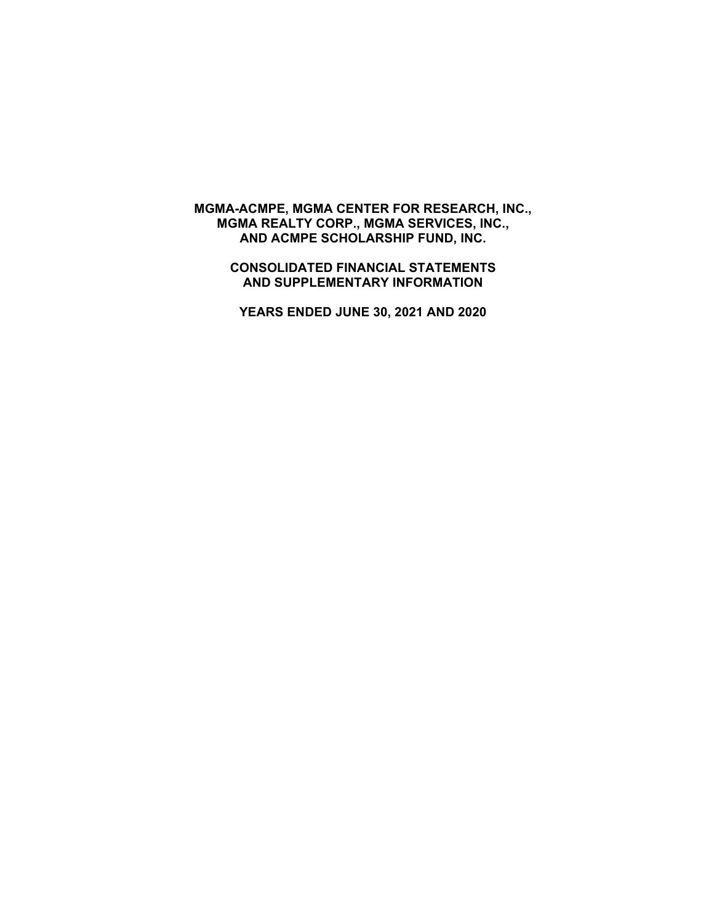### **MGMA-ACMPE, MGMA CENTER FOR RESEARCH, INC., MGMA REALTY CORP., MGMA SERVICES, INC., AND ACMPE SCHOLARSHIP FUND, INC.**

**CONSOLIDATED FINANCIAL STATEMENTS AND SUPPLEMENTARY INFORMATION** 

**YEARS ENDED JUNE 30, 2021 AND 2020**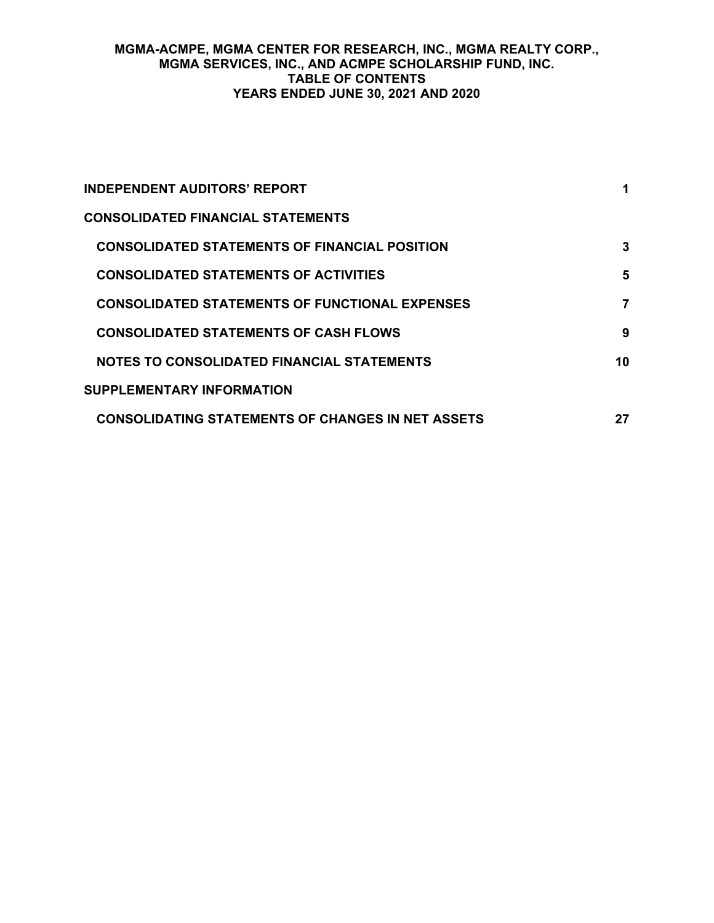## **MGMA-ACMPE, MGMA CENTER FOR RESEARCH, INC., MGMA REALTY CORP., MGMA SERVICES, INC., AND ACMPE SCHOLARSHIP FUND, INC. TABLE OF CONTENTS YEARS ENDED JUNE 30, 2021 AND 2020**

| <b>INDEPENDENT AUDITORS' REPORT</b>                      |    |
|----------------------------------------------------------|----|
| <b>CONSOLIDATED FINANCIAL STATEMENTS</b>                 |    |
| <b>CONSOLIDATED STATEMENTS OF FINANCIAL POSITION</b>     | 3  |
| <b>CONSOLIDATED STATEMENTS OF ACTIVITIES</b>             | 5  |
| <b>CONSOLIDATED STATEMENTS OF FUNCTIONAL EXPENSES</b>    | 7  |
| <b>CONSOLIDATED STATEMENTS OF CASH FLOWS</b>             | 9  |
| NOTES TO CONSOLIDATED FINANCIAL STATEMENTS               | 10 |
| <b>SUPPLEMENTARY INFORMATION</b>                         |    |
| <b>CONSOLIDATING STATEMENTS OF CHANGES IN NET ASSETS</b> | 27 |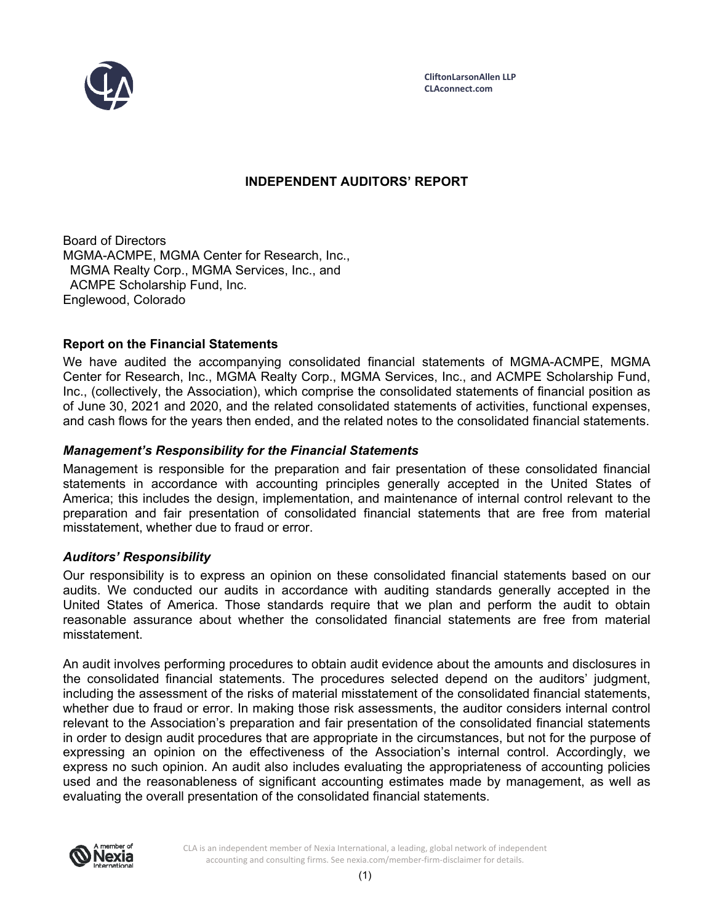

# **INDEPENDENT AUDITORS' REPORT**

Board of Directors MGMA-ACMPE, MGMA Center for Research, Inc., MGMA Realty Corp., MGMA Services, Inc., and ACMPE Scholarship Fund, Inc. Englewood, Colorado

## **Report on the Financial Statements**

We have audited the accompanying consolidated financial statements of MGMA-ACMPE, MGMA Center for Research, Inc., MGMA Realty Corp., MGMA Services, Inc., and ACMPE Scholarship Fund, Inc., (collectively, the Association), which comprise the consolidated statements of financial position as of June 30, 2021 and 2020, and the related consolidated statements of activities, functional expenses, and cash flows for the years then ended, and the related notes to the consolidated financial statements.

### *Management's Responsibility for the Financial Statements*

Management is responsible for the preparation and fair presentation of these consolidated financial statements in accordance with accounting principles generally accepted in the United States of America; this includes the design, implementation, and maintenance of internal control relevant to the preparation and fair presentation of consolidated financial statements that are free from material misstatement, whether due to fraud or error.

### *Auditors' Responsibility*

Our responsibility is to express an opinion on these consolidated financial statements based on our audits. We conducted our audits in accordance with auditing standards generally accepted in the United States of America. Those standards require that we plan and perform the audit to obtain reasonable assurance about whether the consolidated financial statements are free from material misstatement.

An audit involves performing procedures to obtain audit evidence about the amounts and disclosures in the consolidated financial statements. The procedures selected depend on the auditors' judgment, including the assessment of the risks of material misstatement of the consolidated financial statements, whether due to fraud or error. In making those risk assessments, the auditor considers internal control relevant to the Association's preparation and fair presentation of the consolidated financial statements in order to design audit procedures that are appropriate in the circumstances, but not for the purpose of expressing an opinion on the effectiveness of the Association's internal control. Accordingly, we express no such opinion. An audit also includes evaluating the appropriateness of accounting policies used and the reasonableness of significant accounting estimates made by management, as well as evaluating the overall presentation of the consolidated financial statements.

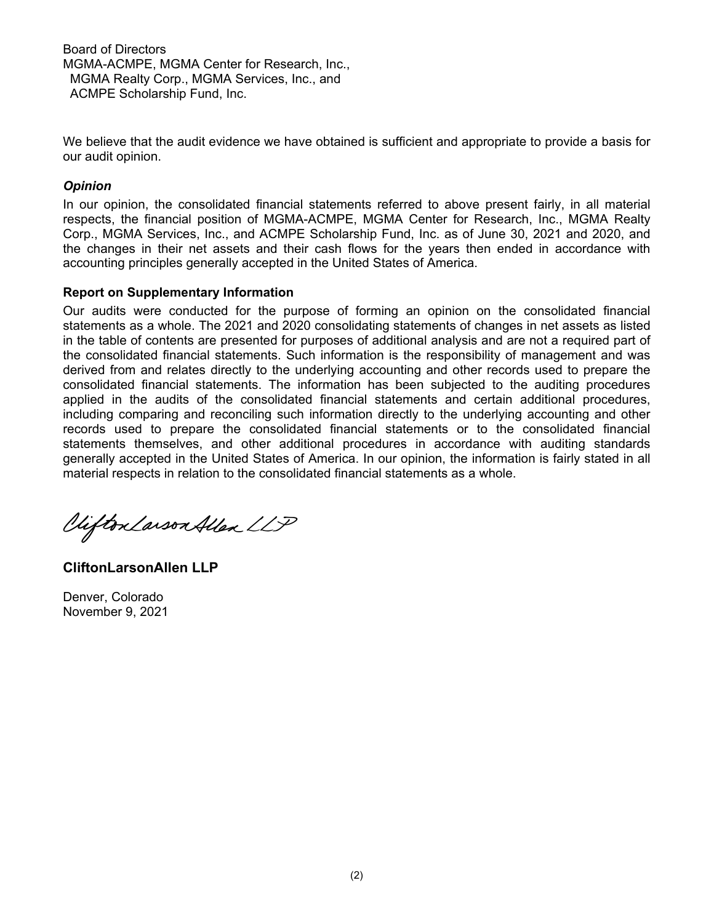Board of Directors MGMA-ACMPE, MGMA Center for Research, Inc., MGMA Realty Corp., MGMA Services, Inc., and ACMPE Scholarship Fund, Inc.

We believe that the audit evidence we have obtained is sufficient and appropriate to provide a basis for our audit opinion.

## *Opinion*

In our opinion, the consolidated financial statements referred to above present fairly, in all material respects, the financial position of MGMA-ACMPE, MGMA Center for Research, Inc., MGMA Realty Corp., MGMA Services, Inc., and ACMPE Scholarship Fund, Inc. as of June 30, 2021 and 2020, and the changes in their net assets and their cash flows for the years then ended in accordance with accounting principles generally accepted in the United States of America.

## **Report on Supplementary Information**

Our audits were conducted for the purpose of forming an opinion on the consolidated financial statements as a whole. The 2021 and 2020 consolidating statements of changes in net assets as listed in the table of contents are presented for purposes of additional analysis and are not a required part of the consolidated financial statements. Such information is the responsibility of management and was derived from and relates directly to the underlying accounting and other records used to prepare the consolidated financial statements. The information has been subjected to the auditing procedures applied in the audits of the consolidated financial statements and certain additional procedures, including comparing and reconciling such information directly to the underlying accounting and other records used to prepare the consolidated financial statements or to the consolidated financial statements themselves, and other additional procedures in accordance with auditing standards generally accepted in the United States of America. In our opinion, the information is fairly stated in all material respects in relation to the consolidated financial statements as a whole.

Viifton Larson Allen LLP

**CliftonLarsonAllen LLP** 

Denver, Colorado November 9, 2021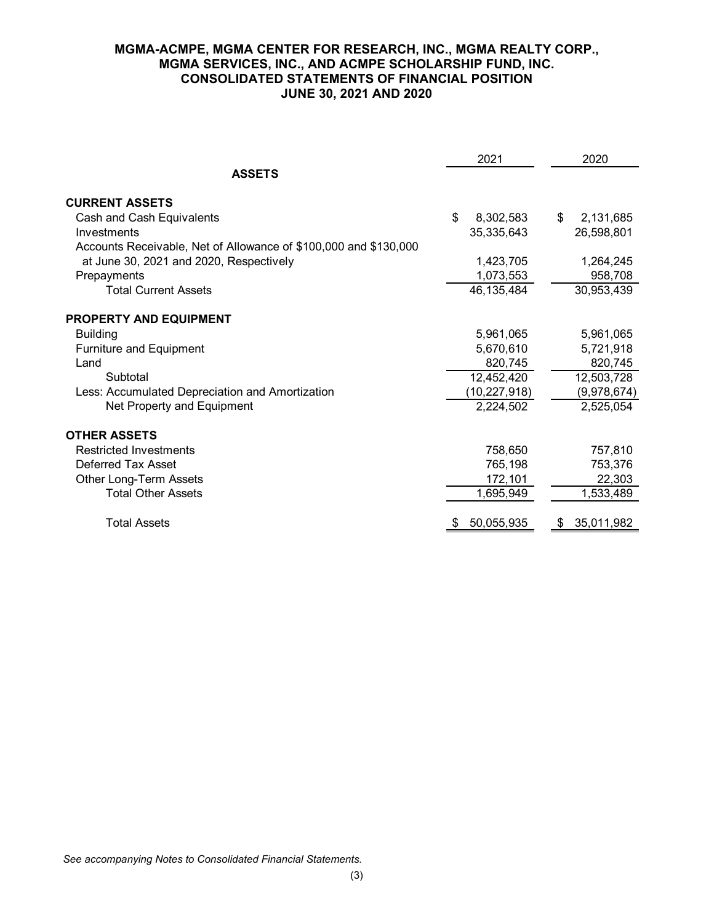|                                                                  | 2021            | 2020            |
|------------------------------------------------------------------|-----------------|-----------------|
| <b>ASSETS</b>                                                    |                 |                 |
| <b>CURRENT ASSETS</b>                                            |                 |                 |
| Cash and Cash Equivalents                                        | \$<br>8,302,583 | 2,131,685<br>S. |
| Investments                                                      | 35,335,643      | 26,598,801      |
| Accounts Receivable, Net of Allowance of \$100,000 and \$130,000 |                 |                 |
| at June 30, 2021 and 2020, Respectively                          | 1,423,705       | 1,264,245       |
| Prepayments                                                      | 1,073,553       | 958,708         |
| <b>Total Current Assets</b>                                      | 46,135,484      | 30,953,439      |
|                                                                  |                 |                 |
| <b>PROPERTY AND EQUIPMENT</b>                                    |                 |                 |
| <b>Building</b>                                                  | 5,961,065       | 5,961,065       |
| <b>Furniture and Equipment</b>                                   | 5,670,610       | 5,721,918       |
| Land                                                             | 820,745         | 820,745         |
| Subtotal                                                         | 12,452,420      | 12,503,728      |
| Less: Accumulated Depreciation and Amortization                  | (10,227,918)    | (9,978,674)     |
| Net Property and Equipment                                       | 2,224,502       | 2,525,054       |
| <b>OTHER ASSETS</b>                                              |                 |                 |
| <b>Restricted Investments</b>                                    | 758,650         | 757,810         |
| <b>Deferred Tax Asset</b>                                        | 765,198         | 753,376         |
| Other Long-Term Assets                                           | 172,101         | 22,303          |
| <b>Total Other Assets</b>                                        | 1,695,949       | 1,533,489       |
|                                                                  |                 |                 |
| <b>Total Assets</b>                                              | 50,055,935      | 35,011,982      |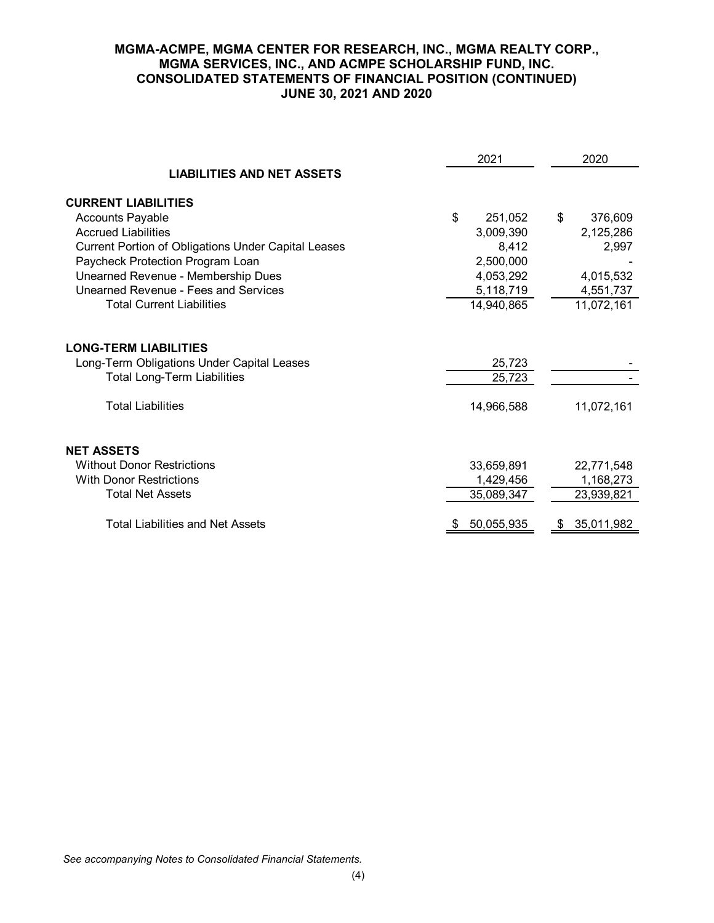### **MGMA-ACMPE, MGMA CENTER FOR RESEARCH, INC., MGMA REALTY CORP., MGMA SERVICES, INC., AND ACMPE SCHOLARSHIP FUND, INC. CONSOLIDATED STATEMENTS OF FINANCIAL POSITION (CONTINUED) JUNE 30, 2021 AND 2020**

|                                                            | 2021          | 2020          |
|------------------------------------------------------------|---------------|---------------|
| <b>LIABILITIES AND NET ASSETS</b>                          |               |               |
| <b>CURRENT LIABILITIES</b>                                 |               |               |
| <b>Accounts Payable</b>                                    | \$<br>251,052 | \$<br>376,609 |
| <b>Accrued Liabilities</b>                                 | 3,009,390     | 2,125,286     |
| <b>Current Portion of Obligations Under Capital Leases</b> | 8,412         | 2,997         |
| Paycheck Protection Program Loan                           | 2,500,000     |               |
| Unearned Revenue - Membership Dues                         | 4,053,292     | 4,015,532     |
| <b>Unearned Revenue - Fees and Services</b>                | 5,118,719     | 4,551,737     |
| <b>Total Current Liabilities</b>                           | 14,940,865    | 11,072,161    |
|                                                            |               |               |
| <b>LONG-TERM LIABILITIES</b>                               |               |               |
| Long-Term Obligations Under Capital Leases                 | 25,723        |               |
| <b>Total Long-Term Liabilities</b>                         | 25,723        |               |
| <b>Total Liabilities</b>                                   | 14,966,588    | 11,072,161    |
|                                                            |               |               |
| <b>NET ASSETS</b>                                          |               |               |
| <b>Without Donor Restrictions</b>                          | 33,659,891    | 22,771,548    |
| <b>With Donor Restrictions</b>                             | 1,429,456     | 1,168,273     |
| <b>Total Net Assets</b>                                    | 35,089,347    | 23,939,821    |
| <b>Total Liabilities and Net Assets</b>                    | 50,055,935    | 35,011,982    |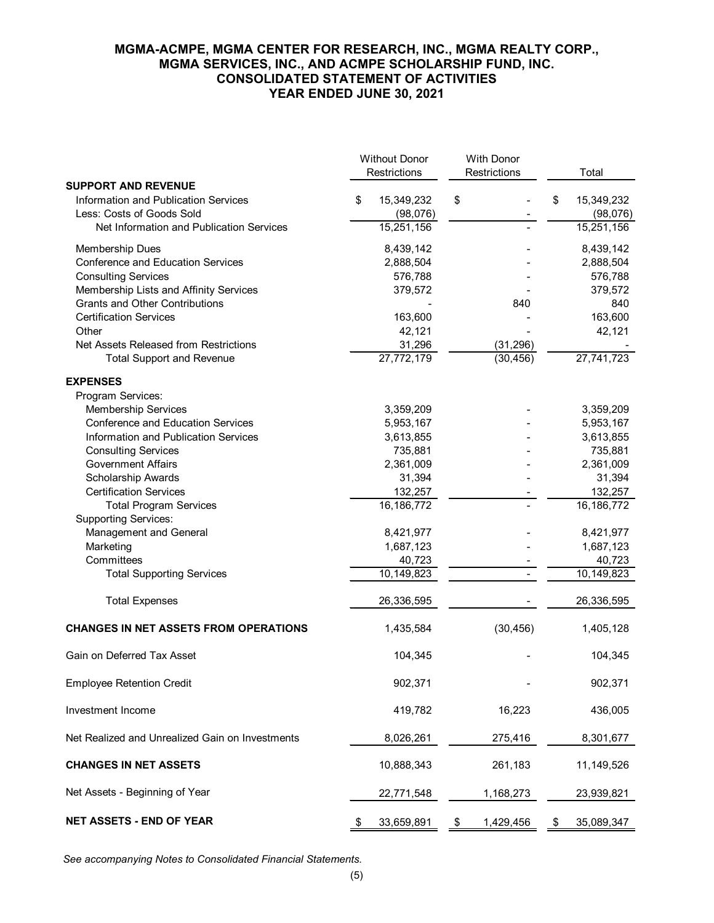### **MGMA-ACMPE, MGMA CENTER FOR RESEARCH, INC., MGMA REALTY CORP., MGMA SERVICES, INC., AND ACMPE SCHOLARSHIP FUND, INC. CONSOLIDATED STATEMENT OF ACTIVITIES YEAR ENDED JUNE 30, 2021**

|                                                 | <b>Without Donor</b><br>Restrictions | <b>With Donor</b><br>Restrictions | Total            |
|-------------------------------------------------|--------------------------------------|-----------------------------------|------------------|
| <b>SUPPORT AND REVENUE</b>                      |                                      |                                   |                  |
| Information and Publication Services            | \$<br>15,349,232                     | \$                                | \$<br>15,349,232 |
| Less: Costs of Goods Sold                       | (98,076)                             |                                   | (98,076)         |
| Net Information and Publication Services        | 15,251,156                           |                                   | 15,251,156       |
| Membership Dues                                 | 8,439,142                            |                                   | 8,439,142        |
| <b>Conference and Education Services</b>        | 2,888,504                            |                                   | 2,888,504        |
| <b>Consulting Services</b>                      | 576,788                              |                                   | 576,788          |
| Membership Lists and Affinity Services          | 379,572                              |                                   | 379,572          |
| <b>Grants and Other Contributions</b>           |                                      | 840                               | 840              |
| <b>Certification Services</b>                   | 163,600                              |                                   | 163,600          |
| Other                                           | 42,121                               |                                   | 42,121           |
| Net Assets Released from Restrictions           | 31,296                               | (31, 296)                         |                  |
| <b>Total Support and Revenue</b>                | 27,772,179                           | (30, 456)                         | 27,741,723       |
|                                                 |                                      |                                   |                  |
| <b>EXPENSES</b>                                 |                                      |                                   |                  |
| Program Services:                               |                                      |                                   |                  |
| <b>Membership Services</b>                      | 3,359,209                            |                                   | 3,359,209        |
| <b>Conference and Education Services</b>        | 5,953,167                            |                                   | 5,953,167        |
| Information and Publication Services            | 3,613,855                            |                                   | 3,613,855        |
| <b>Consulting Services</b>                      | 735,881                              |                                   | 735,881          |
| <b>Government Affairs</b>                       | 2,361,009                            |                                   | 2,361,009        |
| <b>Scholarship Awards</b>                       | 31,394                               |                                   | 31,394           |
| <b>Certification Services</b>                   | 132,257                              |                                   | 132,257          |
| <b>Total Program Services</b>                   | 16,186,772                           |                                   | 16,186,772       |
| <b>Supporting Services:</b>                     |                                      |                                   |                  |
| Management and General                          | 8,421,977                            |                                   | 8,421,977        |
|                                                 |                                      |                                   |                  |
| Marketing                                       | 1,687,123                            |                                   | 1,687,123        |
| Committees                                      | 40,723                               |                                   | 40,723           |
| <b>Total Supporting Services</b>                | 10,149,823                           |                                   | 10,149,823       |
| <b>Total Expenses</b>                           | 26,336,595                           |                                   | 26,336,595       |
| <b>CHANGES IN NET ASSETS FROM OPERATIONS</b>    | 1,435,584                            | (30, 456)                         | 1,405,128        |
| Gain on Deferred Tax Asset                      | 104,345                              |                                   | 104,345          |
| <b>Employee Retention Credit</b>                | 902,371                              |                                   | 902,371          |
| Investment Income                               | 419,782                              | 16,223                            | 436,005          |
| Net Realized and Unrealized Gain on Investments | 8,026,261                            | 275,416                           | 8,301,677        |
| <b>CHANGES IN NET ASSETS</b>                    | 10,888,343                           | 261,183                           | 11,149,526       |
| Net Assets - Beginning of Year                  | 22,771,548                           | 1,168,273                         | 23,939,821       |
| <b>NET ASSETS - END OF YEAR</b>                 | \$<br>33,659,891                     | \$<br>1,429,456                   | \$<br>35,089,347 |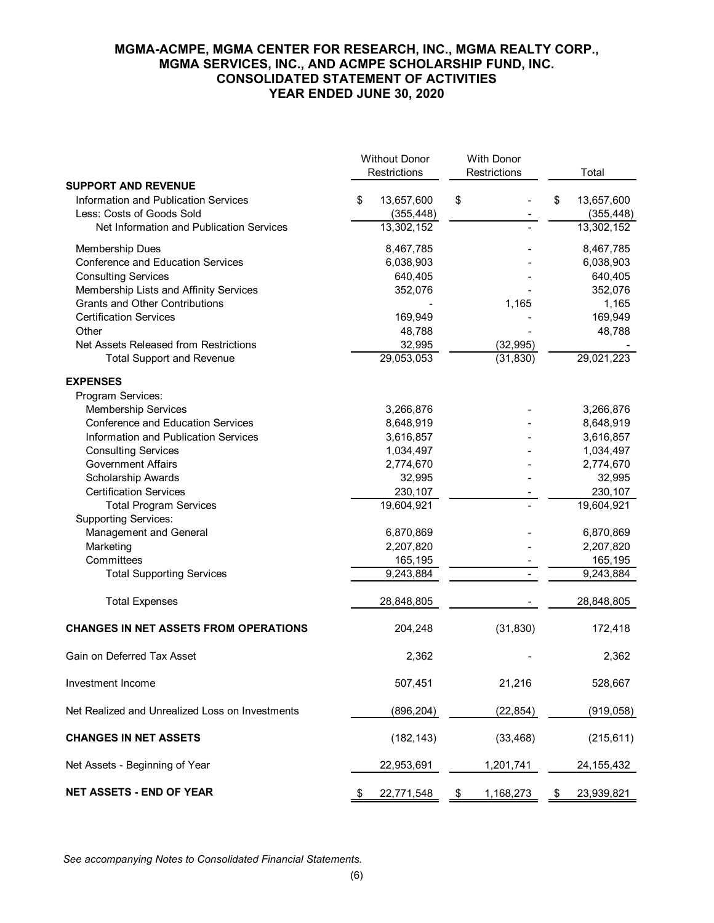### **MGMA-ACMPE, MGMA CENTER FOR RESEARCH, INC., MGMA REALTY CORP., MGMA SERVICES, INC., AND ACMPE SCHOLARSHIP FUND, INC. CONSOLIDATED STATEMENT OF ACTIVITIES YEAR ENDED JUNE 30, 2020**

|                                                                                                                                                                                                                                                                                                                                                                                                                                                                                         | <b>Without Donor</b><br>Restrictions                                                                                                                                        | <b>With Donor</b><br>Restrictions | Total                                                                                                                                                                       |
|-----------------------------------------------------------------------------------------------------------------------------------------------------------------------------------------------------------------------------------------------------------------------------------------------------------------------------------------------------------------------------------------------------------------------------------------------------------------------------------------|-----------------------------------------------------------------------------------------------------------------------------------------------------------------------------|-----------------------------------|-----------------------------------------------------------------------------------------------------------------------------------------------------------------------------|
| <b>SUPPORT AND REVENUE</b><br>Information and Publication Services<br>Less: Costs of Goods Sold<br>Net Information and Publication Services                                                                                                                                                                                                                                                                                                                                             | \$<br>13,657,600<br>(355, 448)<br>13,302,152                                                                                                                                | \$                                | \$<br>13,657,600<br>(355, 448)<br>13,302,152                                                                                                                                |
| Membership Dues<br><b>Conference and Education Services</b><br><b>Consulting Services</b><br>Membership Lists and Affinity Services<br><b>Grants and Other Contributions</b><br><b>Certification Services</b><br>Other<br>Net Assets Released from Restrictions<br><b>Total Support and Revenue</b>                                                                                                                                                                                     | 8,467,785<br>6,038,903<br>640,405<br>352,076<br>169,949<br>48,788<br>32,995<br>29,053,053                                                                                   | 1,165<br>(32, 995)<br>(31, 830)   | 8,467,785<br>6,038,903<br>640,405<br>352,076<br>1,165<br>169,949<br>48,788<br>29,021,223                                                                                    |
| <b>EXPENSES</b>                                                                                                                                                                                                                                                                                                                                                                                                                                                                         |                                                                                                                                                                             |                                   |                                                                                                                                                                             |
| Program Services:<br>Membership Services<br><b>Conference and Education Services</b><br>Information and Publication Services<br><b>Consulting Services</b><br><b>Government Affairs</b><br><b>Scholarship Awards</b><br><b>Certification Services</b><br><b>Total Program Services</b><br><b>Supporting Services:</b><br>Management and General<br>Marketing<br>Committees<br><b>Total Supporting Services</b><br><b>Total Expenses</b><br><b>CHANGES IN NET ASSETS FROM OPERATIONS</b> | 3,266,876<br>8,648,919<br>3,616,857<br>1,034,497<br>2,774,670<br>32,995<br>230,107<br>19,604,921<br>6,870,869<br>2,207,820<br>165,195<br>9,243,884<br>28,848,805<br>204,248 | (31, 830)                         | 3,266,876<br>8,648,919<br>3,616,857<br>1,034,497<br>2,774,670<br>32,995<br>230,107<br>19,604,921<br>6,870,869<br>2,207,820<br>165,195<br>9,243,884<br>28,848,805<br>172,418 |
| Gain on Deferred Tax Asset                                                                                                                                                                                                                                                                                                                                                                                                                                                              | 2,362                                                                                                                                                                       |                                   | 2,362                                                                                                                                                                       |
| Investment Income                                                                                                                                                                                                                                                                                                                                                                                                                                                                       | 507,451                                                                                                                                                                     | 21,216                            | 528,667                                                                                                                                                                     |
| Net Realized and Unrealized Loss on Investments                                                                                                                                                                                                                                                                                                                                                                                                                                         | (896, 204)                                                                                                                                                                  | (22, 854)                         | (919, 058)                                                                                                                                                                  |
| <b>CHANGES IN NET ASSETS</b>                                                                                                                                                                                                                                                                                                                                                                                                                                                            | (182, 143)                                                                                                                                                                  | (33, 468)                         | (215, 611)                                                                                                                                                                  |
| Net Assets - Beginning of Year                                                                                                                                                                                                                                                                                                                                                                                                                                                          | 22,953,691                                                                                                                                                                  | 1,201,741                         | 24,155,432                                                                                                                                                                  |
| <b>NET ASSETS - END OF YEAR</b>                                                                                                                                                                                                                                                                                                                                                                                                                                                         | \$<br>22,771,548                                                                                                                                                            | \$<br>1,168,273                   | \$<br>23,939,821                                                                                                                                                            |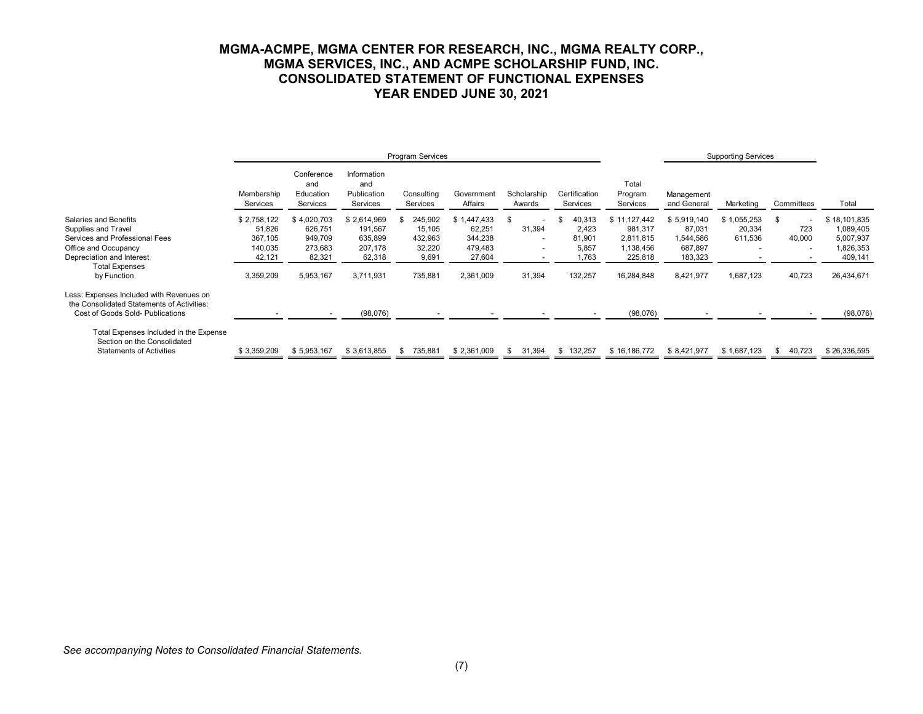### **MGMA-ACMPE, MGMA CENTER FOR RESEARCH, INC., MGMA REALTY CORP., MGMA SERVICES, INC., AND ACMPE SCHOLARSHIP FUND, INC. CONSOLIDATED STATEMENT OF FUNCTIONAL EXPENSES YEAR ENDED JUNE 30, 2021**

|                                                                                                                                     | <b>Program Services</b>                               |                                                        |                                                        |                                                 |                                                       |                                                                          |                                             | <b>Supporting Services</b>                                   |                                                          |                                  |                                           |                                                                |
|-------------------------------------------------------------------------------------------------------------------------------------|-------------------------------------------------------|--------------------------------------------------------|--------------------------------------------------------|-------------------------------------------------|-------------------------------------------------------|--------------------------------------------------------------------------|---------------------------------------------|--------------------------------------------------------------|----------------------------------------------------------|----------------------------------|-------------------------------------------|----------------------------------------------------------------|
|                                                                                                                                     | Membership<br>Services                                | Conference<br>and<br>Education<br>Services             | Information<br>and<br>Publication<br>Services          | Consulting<br>Services                          | Government<br>Affairs                                 | Scholarship<br>Awards                                                    | Certification<br>Services                   | Total<br>Program<br>Services                                 | Management<br>and General                                | Marketing                        | Committees                                | Total                                                          |
| Salaries and Benefits<br>Supplies and Travel<br>Services and Professional Fees<br>Office and Occupancy<br>Depreciation and Interest | \$2,758,122<br>51,826<br>367,105<br>140,035<br>42,121 | \$4,020,703<br>626,751<br>949,709<br>273,683<br>82,321 | \$2,614,969<br>191,567<br>635,899<br>207,178<br>62,318 | 245,902<br>15,105<br>432,963<br>32,220<br>9,691 | \$1,447,433<br>62,251<br>344,238<br>479,483<br>27,604 | 31,394<br>$\sim$<br>$\overline{\phantom{0}}$<br>$\overline{\phantom{a}}$ | 40,313<br>2,423<br>81,901<br>5,857<br>1,763 | \$11,127,442<br>981,317<br>2,811,815<br>1,138,456<br>225,818 | \$5,919,140<br>87,031<br>1,544,586<br>687,897<br>183,323 | \$1,055,253<br>20,334<br>611,536 | 723<br>40,000<br>$\overline{\phantom{a}}$ | \$18,101,835<br>1,089,405<br>5,007,937<br>1,826,353<br>409,141 |
| <b>Total Expenses</b><br>by Function                                                                                                | 3,359,209                                             | 5,953,167                                              | 3,711,931                                              | 735,881                                         | 2,361,009                                             | 31,394                                                                   | 132,257                                     | 16,284,848                                                   | 8,421,977                                                | 1,687,123                        | 40,723                                    | 26,434,671                                                     |
| Less: Expenses Included with Revenues on<br>the Consolidated Statements of Activities:<br>Cost of Goods Sold- Publications          |                                                       |                                                        | (98,076)                                               |                                                 |                                                       |                                                                          |                                             | (98,076)                                                     |                                                          |                                  |                                           | (98,076)                                                       |
| Total Expenses Included in the Expense<br>Section on the Consolidated<br><b>Statements of Activities</b>                            | \$3,359,209                                           | \$5,953,167                                            | \$3,613,855                                            | 735,881<br>s.                                   | \$2,361,009                                           | 31,394<br>\$                                                             | 132,257<br>S.                               | \$16,186,772                                                 | \$8,421,977                                              | \$1,687,123                      | 40,723                                    | \$26,336,595                                                   |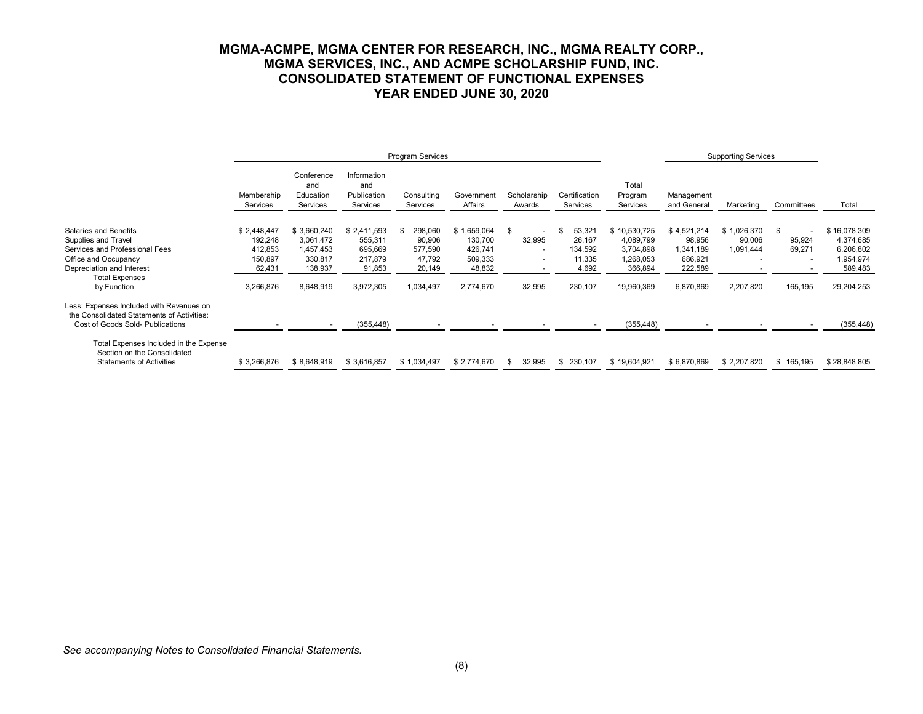### **MGMA-ACMPE, MGMA CENTER FOR RESEARCH, INC., MGMA REALTY CORP., MGMA SERVICES, INC., AND ACMPE SCHOLARSHIP FUND, INC. CONSOLIDATED STATEMENT OF FUNCTIONAL EXPENSES YEAR ENDED JUNE 30, 2020**

|                                                                                                                            | Program Services       |                                            |                                               |                        |                       |                          |                           |                              | <b>Supporting Services</b> |             |                                  |              |
|----------------------------------------------------------------------------------------------------------------------------|------------------------|--------------------------------------------|-----------------------------------------------|------------------------|-----------------------|--------------------------|---------------------------|------------------------------|----------------------------|-------------|----------------------------------|--------------|
|                                                                                                                            | Membership<br>Services | Conference<br>and<br>Education<br>Services | Information<br>and<br>Publication<br>Services | Consulting<br>Services | Government<br>Affairs | Scholarship<br>Awards    | Certification<br>Services | Total<br>Program<br>Services | Management<br>and General  | Marketing   | Committees                       | Total        |
| Salaries and Benefits                                                                                                      | \$2,448,447            | \$3,660,240                                | \$2,411,593                                   | 298,060                | \$1,659,064           | - \$                     | 53,321                    | \$10,530,725                 | \$4,521,214                | \$1,026,370 | - \$<br>$\overline{\phantom{a}}$ | \$16,078,309 |
| Supplies and Travel                                                                                                        | 192,248                | 3,061,472                                  | 555,311                                       | 90,906                 | 130,700               | 32,995                   | 26,167                    | 4,089,799                    | 98,956                     | 90,006      | 95,924                           | 4,374,685    |
| Services and Professional Fees                                                                                             | 412,853                | 1,457,453                                  | 695,669                                       | 577,590                | 426,741               | $\overline{\phantom{a}}$ | 134,592                   | 3,704,898                    | 1,341,189                  | 1,091,444   | 69,271                           | 6,206,802    |
| Office and Occupancy                                                                                                       | 150,897                | 330,817                                    | 217,879                                       | 47,792                 | 509,333               | $\overline{\phantom{a}}$ | 11,335                    | 1,268,053                    | 686,921                    |             | $\overline{\phantom{a}}$         | 1,954,974    |
| Depreciation and Interest                                                                                                  | 62,431                 | 138,937                                    | 91,853                                        | 20,149                 | 48,832                |                          | 4,692                     | 366,894                      | 222,589                    |             |                                  | 589,483      |
| <b>Total Expenses</b>                                                                                                      |                        |                                            |                                               |                        |                       |                          |                           |                              |                            |             |                                  |              |
| by Function                                                                                                                | 3,266,876              | 8,648,919                                  | 3,972,305                                     | 1,034,497              | 2,774,670             | 32,995                   | 230,107                   | 19,960,369                   | 6,870,869                  | 2,207,820   | 165,195                          | 29,204,253   |
| Less: Expenses Included with Revenues on<br>the Consolidated Statements of Activities:<br>Cost of Goods Sold- Publications |                        | $\overline{\phantom{a}}$                   | (355, 448)                                    |                        |                       |                          |                           | (355, 448)                   |                            |             | $\overline{\phantom{a}}$         | (355, 448)   |
| Total Expenses Included in the Expense<br>Section on the Consolidated                                                      |                        |                                            |                                               |                        |                       |                          |                           |                              |                            |             |                                  |              |
| <b>Statements of Activities</b>                                                                                            | \$3,266,876            | \$8,648,919                                | \$3,616,857                                   | \$1,034,497            | \$2,774,670           | 32,995<br>£.             | \$230,107                 | \$19,604,921                 | \$6,870,869                | \$2,207,820 | \$165,195                        | \$28,848,805 |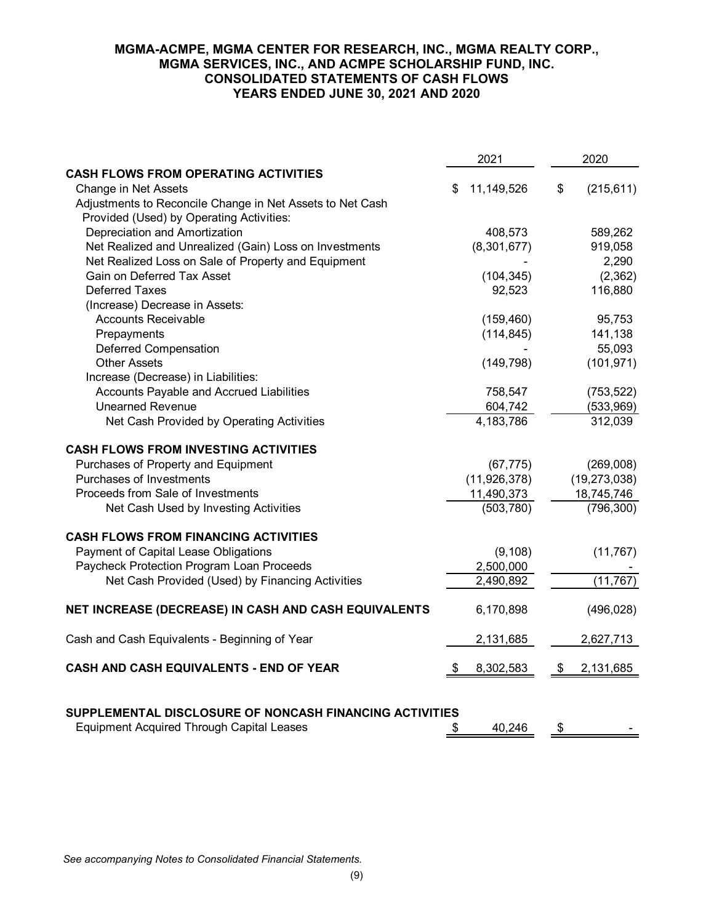### **MGMA-ACMPE, MGMA CENTER FOR RESEARCH, INC., MGMA REALTY CORP., MGMA SERVICES, INC., AND ACMPE SCHOLARSHIP FUND, INC. CONSOLIDATED STATEMENTS OF CASH FLOWS YEARS ENDED JUNE 30, 2021 AND 2020**

|                                                                                                             | 2021             | 2020             |
|-------------------------------------------------------------------------------------------------------------|------------------|------------------|
| <b>CASH FLOWS FROM OPERATING ACTIVITIES</b>                                                                 |                  |                  |
| Change in Net Assets                                                                                        | 11,149,526<br>\$ | \$<br>(215, 611) |
| Adjustments to Reconcile Change in Net Assets to Net Cash                                                   |                  |                  |
| Provided (Used) by Operating Activities:                                                                    |                  |                  |
| Depreciation and Amortization                                                                               | 408,573          | 589,262          |
| Net Realized and Unrealized (Gain) Loss on Investments                                                      | (8,301,677)      | 919,058          |
| Net Realized Loss on Sale of Property and Equipment                                                         |                  | 2,290            |
| Gain on Deferred Tax Asset                                                                                  | (104, 345)       | (2, 362)         |
| <b>Deferred Taxes</b>                                                                                       | 92,523           | 116,880          |
| (Increase) Decrease in Assets:                                                                              |                  |                  |
| <b>Accounts Receivable</b>                                                                                  | (159, 460)       | 95,753           |
| Prepayments                                                                                                 | (114, 845)       | 141,138          |
| <b>Deferred Compensation</b>                                                                                |                  | 55,093           |
| <b>Other Assets</b>                                                                                         | (149, 798)       | (101, 971)       |
| Increase (Decrease) in Liabilities:                                                                         |                  |                  |
| Accounts Payable and Accrued Liabilities                                                                    | 758,547          | (753, 522)       |
| <b>Unearned Revenue</b>                                                                                     | 604,742          | (533,969)        |
| Net Cash Provided by Operating Activities                                                                   | 4,183,786        | 312,039          |
| <b>CASH FLOWS FROM INVESTING ACTIVITIES</b>                                                                 |                  |                  |
| Purchases of Property and Equipment                                                                         | (67, 775)        | (269,008)        |
| Purchases of Investments                                                                                    | (11, 926, 378)   | (19, 273, 038)   |
| Proceeds from Sale of Investments                                                                           | 11,490,373       | 18,745,746       |
| Net Cash Used by Investing Activities                                                                       | (503, 780)       | (796, 300)       |
| <b>CASH FLOWS FROM FINANCING ACTIVITIES</b>                                                                 |                  |                  |
| Payment of Capital Lease Obligations                                                                        | (9, 108)         | (11, 767)        |
| Paycheck Protection Program Loan Proceeds                                                                   | 2,500,000        |                  |
| Net Cash Provided (Used) by Financing Activities                                                            | 2,490,892        | (11, 767)        |
| NET INCREASE (DECREASE) IN CASH AND CASH EQUIVALENTS                                                        | 6,170,898        | (496, 028)       |
| Cash and Cash Equivalents - Beginning of Year                                                               | 2,131,685        | 2,627,713        |
| CASH AND CASH EQUIVALENTS - END OF YEAR                                                                     | 8,302,583        | \$<br>2,131,685  |
| SUPPLEMENTAL DISCLOSURE OF NONCASH FINANCING ACTIVITIES<br><b>Equipment Acquired Through Capital Leases</b> | \$<br>40,246     | \$               |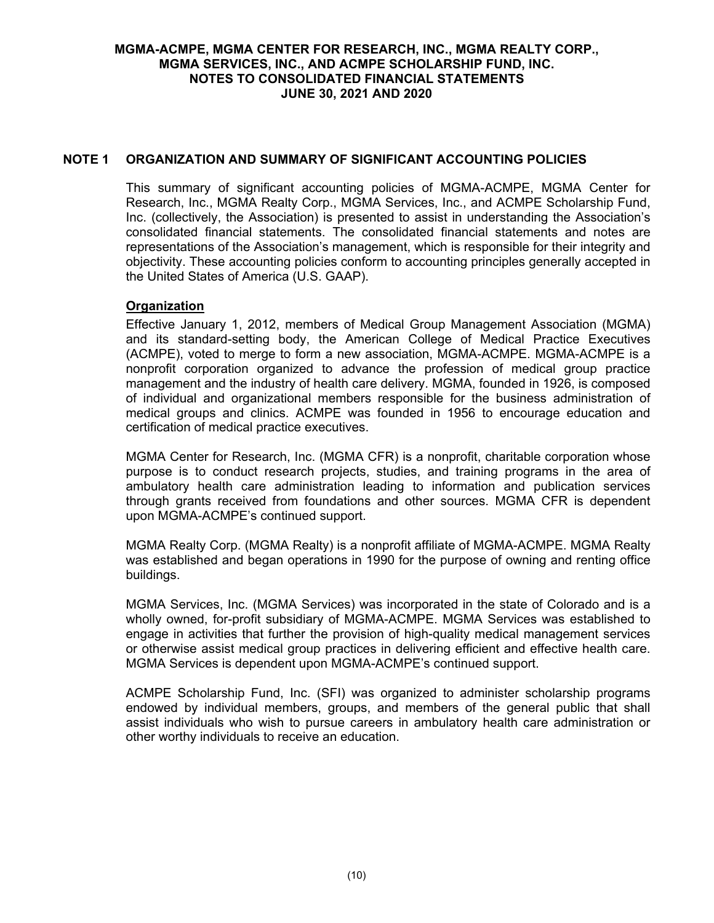## **NOTE 1 ORGANIZATION AND SUMMARY OF SIGNIFICANT ACCOUNTING POLICIES**

This summary of significant accounting policies of MGMA-ACMPE, MGMA Center for Research, Inc., MGMA Realty Corp., MGMA Services, Inc., and ACMPE Scholarship Fund, Inc. (collectively, the Association) is presented to assist in understanding the Association's consolidated financial statements. The consolidated financial statements and notes are representations of the Association's management, which is responsible for their integrity and objectivity. These accounting policies conform to accounting principles generally accepted in the United States of America (U.S. GAAP).

## **Organization**

Effective January 1, 2012, members of Medical Group Management Association (MGMA) and its standard-setting body, the American College of Medical Practice Executives (ACMPE), voted to merge to form a new association, MGMA-ACMPE. MGMA-ACMPE is a nonprofit corporation organized to advance the profession of medical group practice management and the industry of health care delivery. MGMA, founded in 1926, is composed of individual and organizational members responsible for the business administration of medical groups and clinics. ACMPE was founded in 1956 to encourage education and certification of medical practice executives.

MGMA Center for Research, Inc. (MGMA CFR) is a nonprofit, charitable corporation whose purpose is to conduct research projects, studies, and training programs in the area of ambulatory health care administration leading to information and publication services through grants received from foundations and other sources. MGMA CFR is dependent upon MGMA-ACMPE's continued support.

MGMA Realty Corp. (MGMA Realty) is a nonprofit affiliate of MGMA-ACMPE. MGMA Realty was established and began operations in 1990 for the purpose of owning and renting office buildings.

MGMA Services, Inc. (MGMA Services) was incorporated in the state of Colorado and is a wholly owned, for-profit subsidiary of MGMA-ACMPE. MGMA Services was established to engage in activities that further the provision of high-quality medical management services or otherwise assist medical group practices in delivering efficient and effective health care. MGMA Services is dependent upon MGMA-ACMPE's continued support.

ACMPE Scholarship Fund, Inc. (SFI) was organized to administer scholarship programs endowed by individual members, groups, and members of the general public that shall assist individuals who wish to pursue careers in ambulatory health care administration or other worthy individuals to receive an education.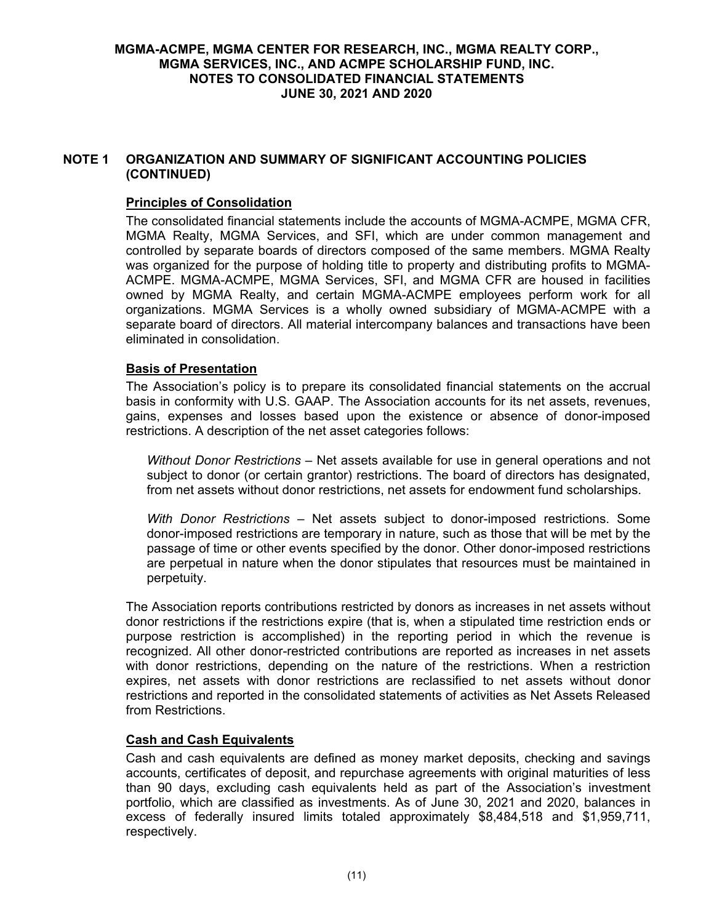# **Principles of Consolidation**

The consolidated financial statements include the accounts of MGMA-ACMPE, MGMA CFR, MGMA Realty, MGMA Services, and SFI, which are under common management and controlled by separate boards of directors composed of the same members. MGMA Realty was organized for the purpose of holding title to property and distributing profits to MGMA-ACMPE. MGMA-ACMPE, MGMA Services, SFI, and MGMA CFR are housed in facilities owned by MGMA Realty, and certain MGMA-ACMPE employees perform work for all organizations. MGMA Services is a wholly owned subsidiary of MGMA-ACMPE with a separate board of directors. All material intercompany balances and transactions have been eliminated in consolidation.

## **Basis of Presentation**

The Association's policy is to prepare its consolidated financial statements on the accrual basis in conformity with U.S. GAAP. The Association accounts for its net assets, revenues, gains, expenses and losses based upon the existence or absence of donor-imposed restrictions. A description of the net asset categories follows:

*Without Donor Restrictions* – Net assets available for use in general operations and not subject to donor (or certain grantor) restrictions. The board of directors has designated, from net assets without donor restrictions, net assets for endowment fund scholarships.

*With Donor Restrictions* – Net assets subject to donor-imposed restrictions. Some donor-imposed restrictions are temporary in nature, such as those that will be met by the passage of time or other events specified by the donor. Other donor-imposed restrictions are perpetual in nature when the donor stipulates that resources must be maintained in perpetuity.

The Association reports contributions restricted by donors as increases in net assets without donor restrictions if the restrictions expire (that is, when a stipulated time restriction ends or purpose restriction is accomplished) in the reporting period in which the revenue is recognized. All other donor-restricted contributions are reported as increases in net assets with donor restrictions, depending on the nature of the restrictions. When a restriction expires, net assets with donor restrictions are reclassified to net assets without donor restrictions and reported in the consolidated statements of activities as Net Assets Released from Restrictions.

## **Cash and Cash Equivalents**

Cash and cash equivalents are defined as money market deposits, checking and savings accounts, certificates of deposit, and repurchase agreements with original maturities of less than 90 days, excluding cash equivalents held as part of the Association's investment portfolio, which are classified as investments. As of June 30, 2021 and 2020, balances in excess of federally insured limits totaled approximately \$8,484,518 and \$1,959,711, respectively.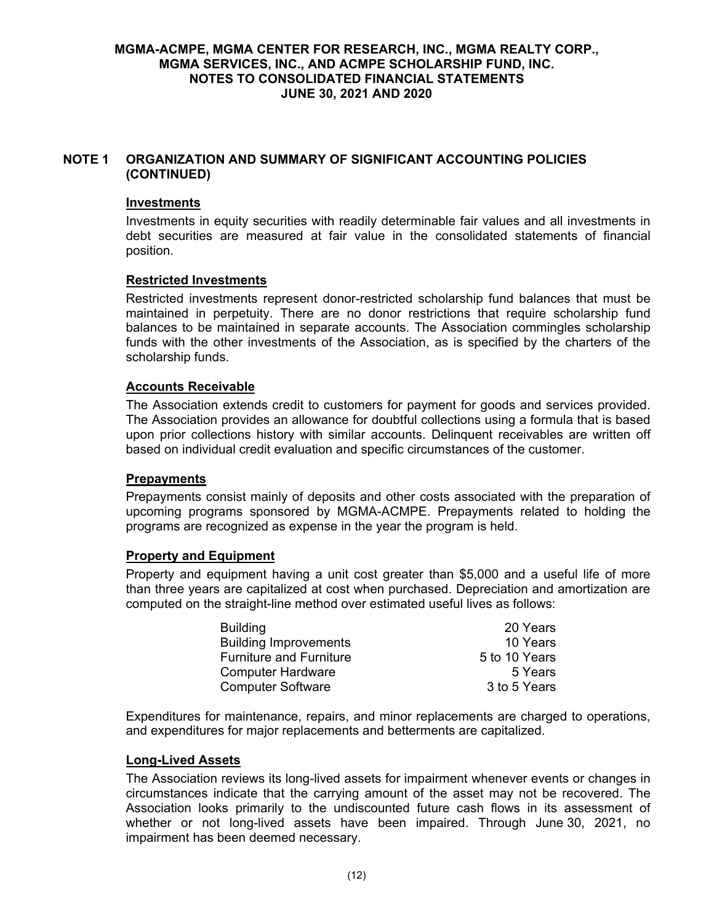### **Investments**

Investments in equity securities with readily determinable fair values and all investments in debt securities are measured at fair value in the consolidated statements of financial position.

### **Restricted Investments**

Restricted investments represent donor-restricted scholarship fund balances that must be maintained in perpetuity. There are no donor restrictions that require scholarship fund balances to be maintained in separate accounts. The Association commingles scholarship funds with the other investments of the Association, as is specified by the charters of the scholarship funds.

### **Accounts Receivable**

The Association extends credit to customers for payment for goods and services provided. The Association provides an allowance for doubtful collections using a formula that is based upon prior collections history with similar accounts. Delinquent receivables are written off based on individual credit evaluation and specific circumstances of the customer.

### **Prepayments**

Prepayments consist mainly of deposits and other costs associated with the preparation of upcoming programs sponsored by MGMA-ACMPE. Prepayments related to holding the programs are recognized as expense in the year the program is held.

## **Property and Equipment**

Property and equipment having a unit cost greater than \$5,000 and a useful life of more than three years are capitalized at cost when purchased. Depreciation and amortization are computed on the straight-line method over estimated useful lives as follows:

| <b>Building</b>                | 20 Years      |
|--------------------------------|---------------|
| <b>Building Improvements</b>   | 10 Years      |
| <b>Furniture and Furniture</b> | 5 to 10 Years |
| <b>Computer Hardware</b>       | 5 Years       |
| <b>Computer Software</b>       | 3 to 5 Years  |

Expenditures for maintenance, repairs, and minor replacements are charged to operations, and expenditures for major replacements and betterments are capitalized.

### **Long-Lived Assets**

The Association reviews its long-lived assets for impairment whenever events or changes in circumstances indicate that the carrying amount of the asset may not be recovered. The Association looks primarily to the undiscounted future cash flows in its assessment of whether or not long-lived assets have been impaired. Through June 30, 2021, no impairment has been deemed necessary.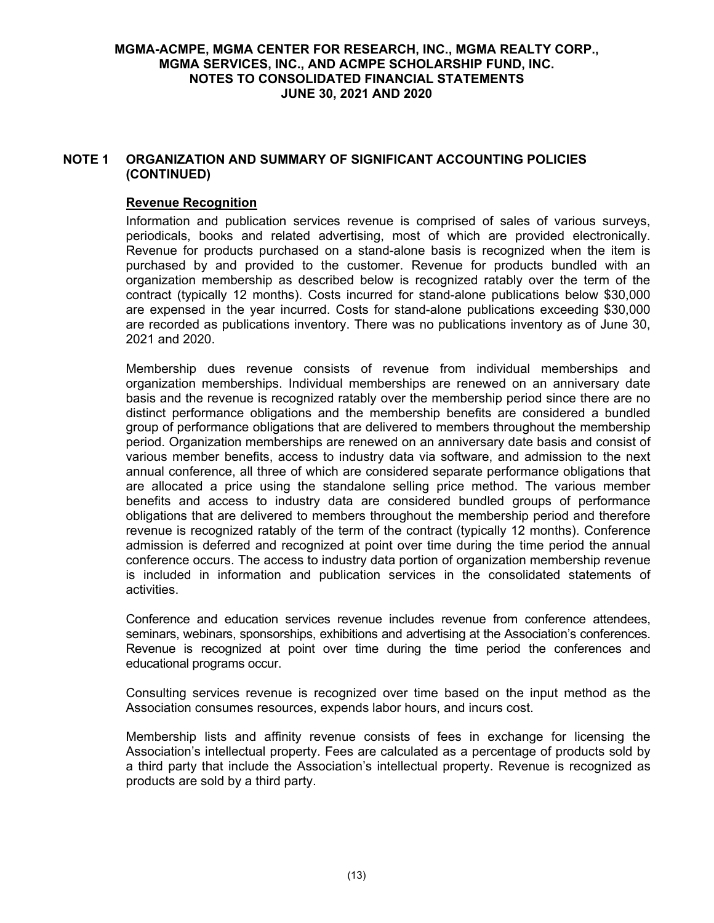## **Revenue Recognition**

Information and publication services revenue is comprised of sales of various surveys, periodicals, books and related advertising, most of which are provided electronically. Revenue for products purchased on a stand-alone basis is recognized when the item is purchased by and provided to the customer. Revenue for products bundled with an organization membership as described below is recognized ratably over the term of the contract (typically 12 months). Costs incurred for stand-alone publications below \$30,000 are expensed in the year incurred. Costs for stand-alone publications exceeding \$30,000 are recorded as publications inventory. There was no publications inventory as of June 30, 2021 and 2020.

Membership dues revenue consists of revenue from individual memberships and organization memberships. Individual memberships are renewed on an anniversary date basis and the revenue is recognized ratably over the membership period since there are no distinct performance obligations and the membership benefits are considered a bundled group of performance obligations that are delivered to members throughout the membership period. Organization memberships are renewed on an anniversary date basis and consist of various member benefits, access to industry data via software, and admission to the next annual conference, all three of which are considered separate performance obligations that are allocated a price using the standalone selling price method. The various member benefits and access to industry data are considered bundled groups of performance obligations that are delivered to members throughout the membership period and therefore revenue is recognized ratably of the term of the contract (typically 12 months). Conference admission is deferred and recognized at point over time during the time period the annual conference occurs. The access to industry data portion of organization membership revenue is included in information and publication services in the consolidated statements of activities.

Conference and education services revenue includes revenue from conference attendees, seminars, webinars, sponsorships, exhibitions and advertising at the Association's conferences. Revenue is recognized at point over time during the time period the conferences and educational programs occur.

Consulting services revenue is recognized over time based on the input method as the Association consumes resources, expends labor hours, and incurs cost.

Membership lists and affinity revenue consists of fees in exchange for licensing the Association's intellectual property. Fees are calculated as a percentage of products sold by a third party that include the Association's intellectual property. Revenue is recognized as products are sold by a third party.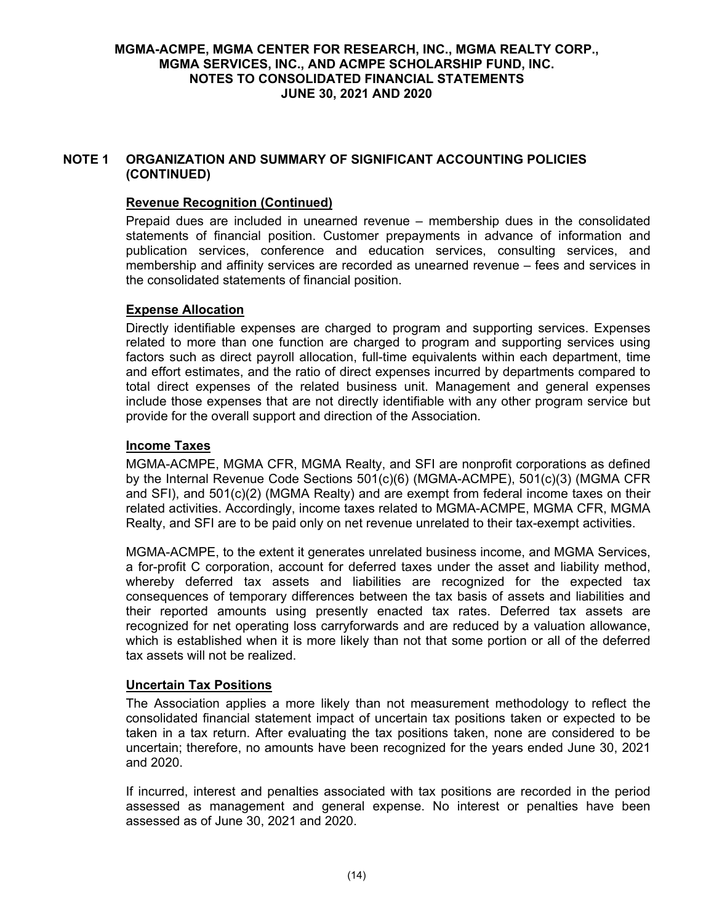## **Revenue Recognition (Continued)**

Prepaid dues are included in unearned revenue – membership dues in the consolidated statements of financial position. Customer prepayments in advance of information and publication services, conference and education services, consulting services, and membership and affinity services are recorded as unearned revenue – fees and services in the consolidated statements of financial position.

# **Expense Allocation**

Directly identifiable expenses are charged to program and supporting services. Expenses related to more than one function are charged to program and supporting services using factors such as direct payroll allocation, full-time equivalents within each department, time and effort estimates, and the ratio of direct expenses incurred by departments compared to total direct expenses of the related business unit. Management and general expenses include those expenses that are not directly identifiable with any other program service but provide for the overall support and direction of the Association.

# **Income Taxes**

MGMA-ACMPE, MGMA CFR, MGMA Realty, and SFI are nonprofit corporations as defined by the Internal Revenue Code Sections 501(c)(6) (MGMA-ACMPE), 501(c)(3) (MGMA CFR and SFI), and 501(c)(2) (MGMA Realty) and are exempt from federal income taxes on their related activities. Accordingly, income taxes related to MGMA-ACMPE, MGMA CFR, MGMA Realty, and SFI are to be paid only on net revenue unrelated to their tax-exempt activities.

MGMA-ACMPE, to the extent it generates unrelated business income, and MGMA Services, a for-profit C corporation, account for deferred taxes under the asset and liability method, whereby deferred tax assets and liabilities are recognized for the expected tax consequences of temporary differences between the tax basis of assets and liabilities and their reported amounts using presently enacted tax rates. Deferred tax assets are recognized for net operating loss carryforwards and are reduced by a valuation allowance, which is established when it is more likely than not that some portion or all of the deferred tax assets will not be realized.

# **Uncertain Tax Positions**

The Association applies a more likely than not measurement methodology to reflect the consolidated financial statement impact of uncertain tax positions taken or expected to be taken in a tax return. After evaluating the tax positions taken, none are considered to be uncertain; therefore, no amounts have been recognized for the years ended June 30, 2021 and 2020.

If incurred, interest and penalties associated with tax positions are recorded in the period assessed as management and general expense. No interest or penalties have been assessed as of June 30, 2021 and 2020.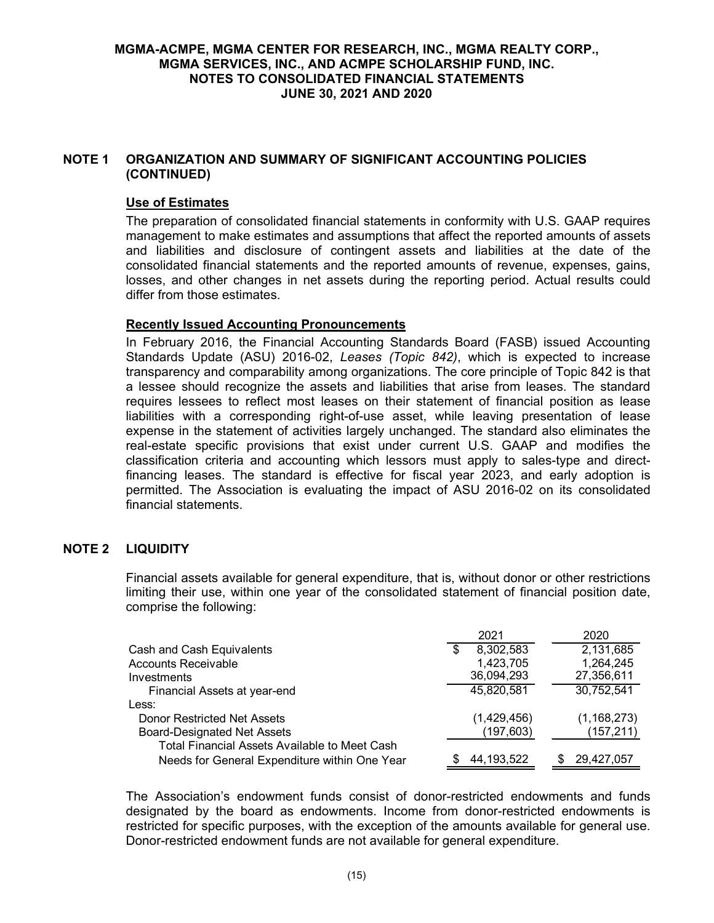## **Use of Estimates**

The preparation of consolidated financial statements in conformity with U.S. GAAP requires management to make estimates and assumptions that affect the reported amounts of assets and liabilities and disclosure of contingent assets and liabilities at the date of the consolidated financial statements and the reported amounts of revenue, expenses, gains, losses, and other changes in net assets during the reporting period. Actual results could differ from those estimates.

# **Recently Issued Accounting Pronouncements**

In February 2016, the Financial Accounting Standards Board (FASB) issued Accounting Standards Update (ASU) 2016-02, *Leases (Topic 842)*, which is expected to increase transparency and comparability among organizations. The core principle of Topic 842 is that a lessee should recognize the assets and liabilities that arise from leases. The standard requires lessees to reflect most leases on their statement of financial position as lease liabilities with a corresponding right-of-use asset, while leaving presentation of lease expense in the statement of activities largely unchanged. The standard also eliminates the real-estate specific provisions that exist under current U.S. GAAP and modifies the classification criteria and accounting which lessors must apply to sales-type and directfinancing leases. The standard is effective for fiscal year 2023, and early adoption is permitted. The Association is evaluating the impact of ASU 2016-02 on its consolidated financial statements.

# **NOTE 2 LIQUIDITY**

Financial assets available for general expenditure, that is, without donor or other restrictions limiting their use, within one year of the consolidated statement of financial position date, comprise the following:

|                                               | 2021           | 2020          |
|-----------------------------------------------|----------------|---------------|
| Cash and Cash Equivalents                     | 8,302,583<br>S | 2,131,685     |
| <b>Accounts Receivable</b>                    | 1,423,705      | 1,264,245     |
| Investments                                   | 36,094,293     | 27,356,611    |
| Financial Assets at year-end                  | 45,820,581     | 30,752,541    |
| Less:                                         |                |               |
| Donor Restricted Net Assets                   | (1,429,456)    | (1, 168, 273) |
| <b>Board-Designated Net Assets</b>            | (197, 603)     | (157, 211)    |
| Total Financial Assets Available to Meet Cash |                |               |
| Needs for General Expenditure within One Year | 44, 193, 522   | 29,427,057    |

The Association's endowment funds consist of donor-restricted endowments and funds designated by the board as endowments. Income from donor-restricted endowments is restricted for specific purposes, with the exception of the amounts available for general use. Donor-restricted endowment funds are not available for general expenditure.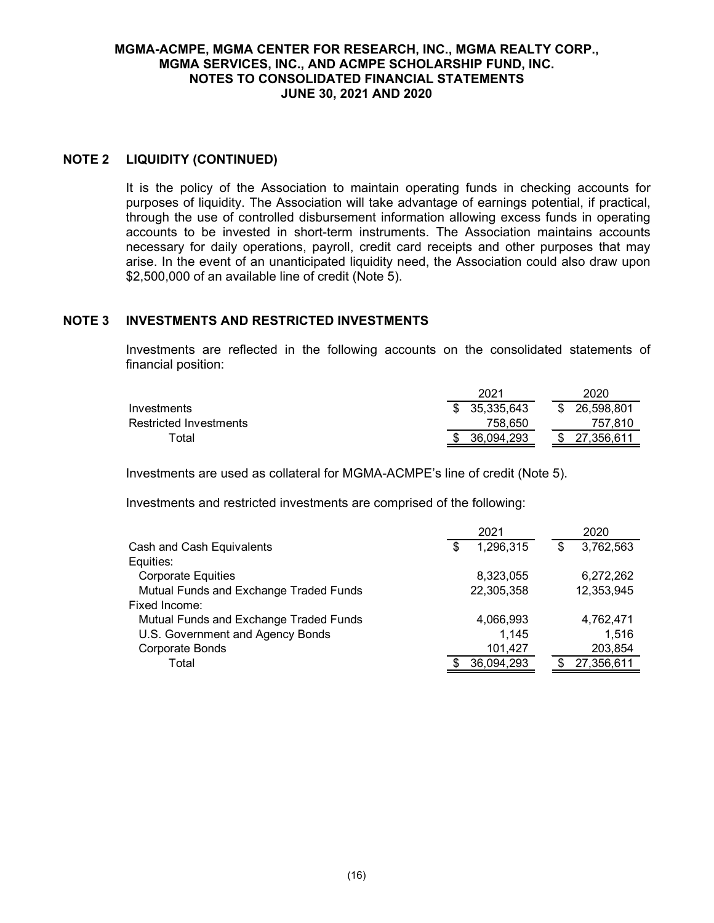## **NOTE 2 LIQUIDITY (CONTINUED)**

It is the policy of the Association to maintain operating funds in checking accounts for purposes of liquidity. The Association will take advantage of earnings potential, if practical, through the use of controlled disbursement information allowing excess funds in operating accounts to be invested in short-term instruments. The Association maintains accounts necessary for daily operations, payroll, credit card receipts and other purposes that may arise. In the event of an unanticipated liquidity need, the Association could also draw upon \$2,500,000 of an available line of credit (Note 5).

## **NOTE 3 INVESTMENTS AND RESTRICTED INVESTMENTS**

Investments are reflected in the following accounts on the consolidated statements of financial position:

|                        | 2021         |  | 2020          |  |
|------------------------|--------------|--|---------------|--|
| Investments            | \$35,335,643 |  | \$26,598,801  |  |
| Restricted Investments | 758.650      |  | 757.810       |  |
| ⊤otal                  | 36.094.293   |  | \$ 27.356.611 |  |

Investments are used as collateral for MGMA-ACMPE's line of credit (Note 5).

Investments and restricted investments are comprised of the following:

|                                        | 2021            | 2020           |
|----------------------------------------|-----------------|----------------|
| Cash and Cash Equivalents              | 1,296,315<br>\$ | 3,762,563<br>S |
| Equities:                              |                 |                |
| <b>Corporate Equities</b>              | 8,323,055       | 6,272,262      |
| Mutual Funds and Exchange Traded Funds | 22,305,358      | 12,353,945     |
| Fixed Income:                          |                 |                |
| Mutual Funds and Exchange Traded Funds | 4,066,993       | 4,762,471      |
| U.S. Government and Agency Bonds       | 1,145           | 1,516          |
| Corporate Bonds                        | 101,427         | 203,854        |
| Total                                  | 36,094,293      | 27,356,611     |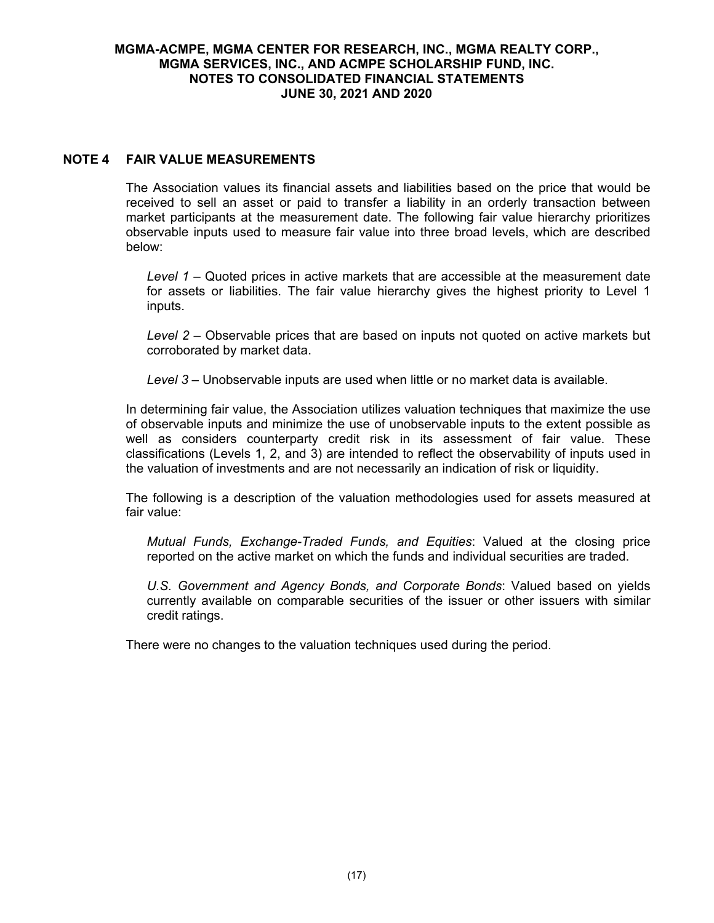## **NOTE 4 FAIR VALUE MEASUREMENTS**

The Association values its financial assets and liabilities based on the price that would be received to sell an asset or paid to transfer a liability in an orderly transaction between market participants at the measurement date. The following fair value hierarchy prioritizes observable inputs used to measure fair value into three broad levels, which are described below:

*Level 1 –* Quoted prices in active markets that are accessible at the measurement date for assets or liabilities. The fair value hierarchy gives the highest priority to Level 1 inputs.

*Level 2 –* Observable prices that are based on inputs not quoted on active markets but corroborated by market data.

*Level 3 –* Unobservable inputs are used when little or no market data is available.

In determining fair value, the Association utilizes valuation techniques that maximize the use of observable inputs and minimize the use of unobservable inputs to the extent possible as well as considers counterparty credit risk in its assessment of fair value. These classifications (Levels 1, 2, and 3) are intended to reflect the observability of inputs used in the valuation of investments and are not necessarily an indication of risk or liquidity.

The following is a description of the valuation methodologies used for assets measured at fair value:

*Mutual Funds, Exchange-Traded Funds, and Equities*: Valued at the closing price reported on the active market on which the funds and individual securities are traded.

*U.S. Government and Agency Bonds, and Corporate Bonds*: Valued based on yields currently available on comparable securities of the issuer or other issuers with similar credit ratings.

There were no changes to the valuation techniques used during the period.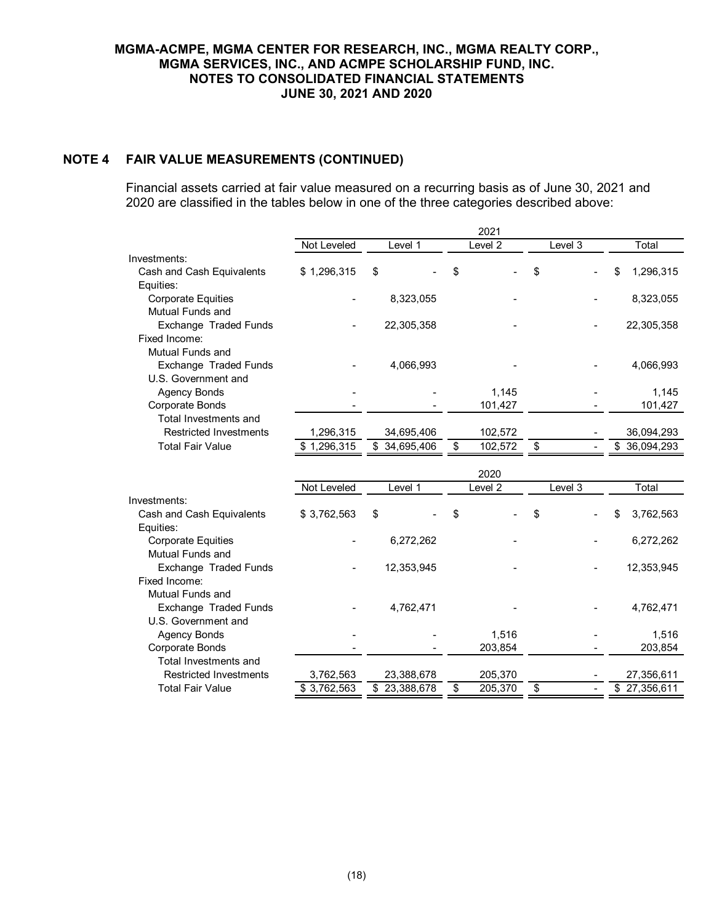# **NOTE 4 FAIR VALUE MEASUREMENTS (CONTINUED)**

Financial assets carried at fair value measured on a recurring basis as of June 30, 2021 and 2020 are classified in the tables below in one of the three categories described above:

|                               |             |                  | 2021                               |         |              |
|-------------------------------|-------------|------------------|------------------------------------|---------|--------------|
|                               | Not Leveled | Level 1          | Level $2$                          | Level 3 | Total        |
| Investments:                  |             |                  |                                    |         |              |
| Cash and Cash Equivalents     | \$1,296,315 | \$               | \$                                 | \$      | 1,296,315    |
| Equities:                     |             |                  |                                    |         |              |
| <b>Corporate Equities</b>     |             | 8,323,055        |                                    |         | 8,323,055    |
| Mutual Funds and              |             |                  |                                    |         |              |
| Exchange Traded Funds         |             | 22,305,358       |                                    |         | 22,305,358   |
| Fixed Income:                 |             |                  |                                    |         |              |
| <b>Mutual Funds and</b>       |             |                  |                                    |         |              |
| Exchange Traded Funds         |             | 4,066,993        |                                    |         | 4,066,993    |
| U.S. Government and           |             |                  |                                    |         |              |
| <b>Agency Bonds</b>           |             |                  | 1,145                              |         | 1,145        |
| <b>Corporate Bonds</b>        |             |                  | 101,427                            |         | 101,427      |
| Total Investments and         |             |                  |                                    |         |              |
| <b>Restricted Investments</b> | 1,296,315   | 34,695,406       | 102,572                            |         | 36,094,293   |
| <b>Total Fair Value</b>       | \$1,296,315 | \$<br>34,695,406 | $\overline{\mathbf{e}}$<br>102,572 | \$      | \$36,094,293 |
|                               |             |                  |                                    |         |              |
|                               |             |                  | 2020                               |         |              |
|                               | Not Leveled | Level 1          | Level 2                            | Level 3 | Total        |
| Investments:                  |             |                  |                                    |         |              |
| Cash and Cash Equivalents     | \$3,762,563 | \$               | \$                                 | \$      | 3,762,563    |
| Equities:                     |             |                  |                                    |         |              |
| <b>Corporate Equities</b>     |             | 6,272,262        |                                    |         | 6,272,262    |
| Mutual Funds and              |             |                  |                                    |         |              |
| Exchange Traded Funds         |             | 12,353,945       |                                    |         | 12,353,945   |
| Fixed Income:                 |             |                  |                                    |         |              |
| <b>Mutual Funds and</b>       |             |                  |                                    |         |              |
| <b>Exchange Traded Funds</b>  |             | 4,762,471        |                                    |         | 4,762,471    |
| U.S. Government and           |             |                  |                                    |         |              |
| <b>Agency Bonds</b>           |             |                  | 1,516                              |         | 1,516        |
| Corporate Bonds               |             |                  | 203,854                            |         | 203,854      |
| <b>Total Investments and</b>  |             |                  |                                    |         |              |
| <b>Restricted Investments</b> | 3,762,563   | 23,388,678       | 205,370                            |         | 27,356,611   |
| <b>Total Fair Value</b>       | \$3,762,563 | \$23,388,678     | \$<br>205,370                      | \$      | \$27,356,611 |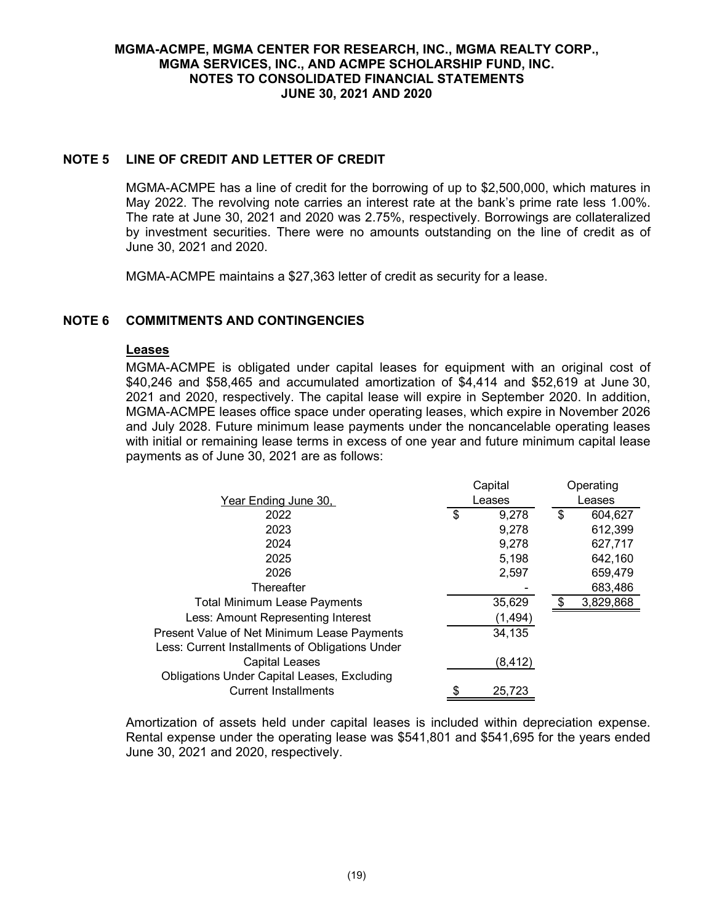# **NOTE 5 LINE OF CREDIT AND LETTER OF CREDIT**

MGMA-ACMPE has a line of credit for the borrowing of up to \$2,500,000, which matures in May 2022. The revolving note carries an interest rate at the bank's prime rate less 1.00%. The rate at June 30, 2021 and 2020 was 2.75%, respectively. Borrowings are collateralized by investment securities. There were no amounts outstanding on the line of credit as of June 30, 2021 and 2020.

MGMA-ACMPE maintains a \$27,363 letter of credit as security for a lease.

### **NOTE 6 COMMITMENTS AND CONTINGENCIES**

#### **Leases**

MGMA-ACMPE is obligated under capital leases for equipment with an original cost of \$40,246 and \$58,465 and accumulated amortization of \$4,414 and \$52,619 at June 30, 2021 and 2020, respectively. The capital lease will expire in September 2020. In addition, MGMA-ACMPE leases office space under operating leases, which expire in November 2026 and July 2028. Future minimum lease payments under the noncancelable operating leases with initial or remaining lease terms in excess of one year and future minimum capital lease payments as of June 30, 2021 are as follows:

|                                                    | Capital      | Operating |           |  |  |
|----------------------------------------------------|--------------|-----------|-----------|--|--|
| Year Ending June 30,                               | Leases       |           | Leases    |  |  |
| 2022                                               | \$<br>9,278  | \$        | 604,627   |  |  |
| 2023                                               | 9,278        |           | 612,399   |  |  |
| 2024                                               | 9,278        |           | 627,717   |  |  |
| 2025                                               | 5,198        |           | 642,160   |  |  |
| 2026                                               | 2,597        |           | 659,479   |  |  |
| Thereafter                                         |              |           | 683,486   |  |  |
| <b>Total Minimum Lease Payments</b>                | 35,629       |           | 3,829,868 |  |  |
| Less: Amount Representing Interest                 | (1, 494)     |           |           |  |  |
| Present Value of Net Minimum Lease Payments        | 34,135       |           |           |  |  |
| Less: Current Installments of Obligations Under    |              |           |           |  |  |
| <b>Capital Leases</b>                              | (8, 412)     |           |           |  |  |
| <b>Obligations Under Capital Leases, Excluding</b> |              |           |           |  |  |
| <b>Current Installments</b>                        | \$<br>25,723 |           |           |  |  |

Amortization of assets held under capital leases is included within depreciation expense. Rental expense under the operating lease was \$541,801 and \$541,695 for the years ended June 30, 2021 and 2020, respectively.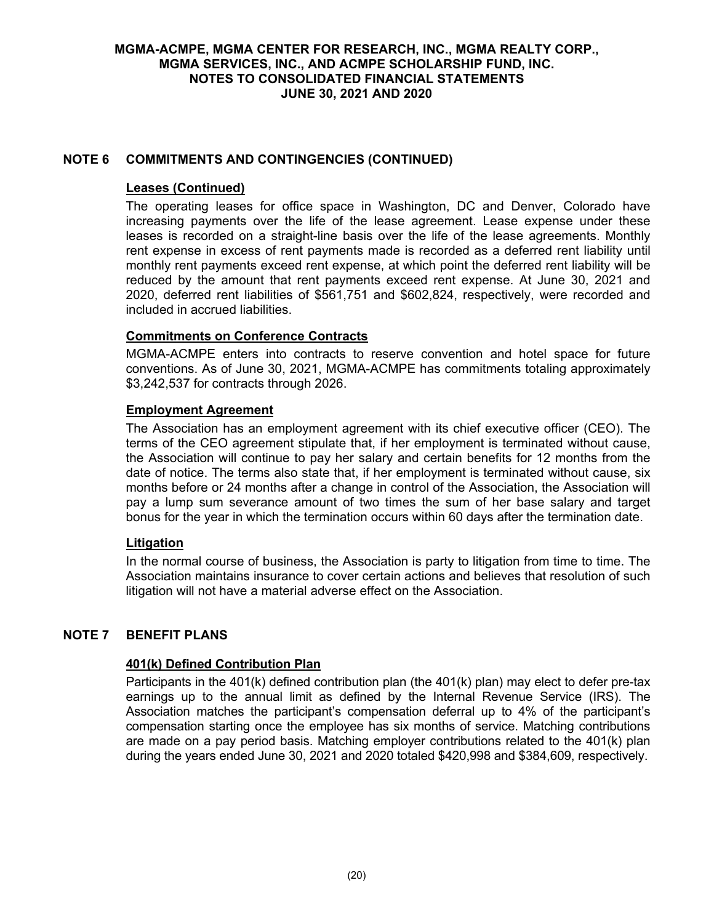# **NOTE 6 COMMITMENTS AND CONTINGENCIES (CONTINUED)**

## **Leases (Continued)**

The operating leases for office space in Washington, DC and Denver, Colorado have increasing payments over the life of the lease agreement. Lease expense under these leases is recorded on a straight-line basis over the life of the lease agreements. Monthly rent expense in excess of rent payments made is recorded as a deferred rent liability until monthly rent payments exceed rent expense, at which point the deferred rent liability will be reduced by the amount that rent payments exceed rent expense. At June 30, 2021 and 2020, deferred rent liabilities of \$561,751 and \$602,824, respectively, were recorded and included in accrued liabilities.

# **Commitments on Conference Contracts**

MGMA-ACMPE enters into contracts to reserve convention and hotel space for future conventions. As of June 30, 2021, MGMA-ACMPE has commitments totaling approximately \$3,242,537 for contracts through 2026.

### **Employment Agreement**

The Association has an employment agreement with its chief executive officer (CEO). The terms of the CEO agreement stipulate that, if her employment is terminated without cause, the Association will continue to pay her salary and certain benefits for 12 months from the date of notice. The terms also state that, if her employment is terminated without cause, six months before or 24 months after a change in control of the Association, the Association will pay a lump sum severance amount of two times the sum of her base salary and target bonus for the year in which the termination occurs within 60 days after the termination date.

## **Litigation**

In the normal course of business, the Association is party to litigation from time to time. The Association maintains insurance to cover certain actions and believes that resolution of such litigation will not have a material adverse effect on the Association.

## **NOTE 7 BENEFIT PLANS**

### **401(k) Defined Contribution Plan**

Participants in the 401(k) defined contribution plan (the 401(k) plan) may elect to defer pre-tax earnings up to the annual limit as defined by the Internal Revenue Service (IRS). The Association matches the participant's compensation deferral up to 4% of the participant's compensation starting once the employee has six months of service. Matching contributions are made on a pay period basis. Matching employer contributions related to the 401(k) plan during the years ended June 30, 2021 and 2020 totaled \$420,998 and \$384,609, respectively.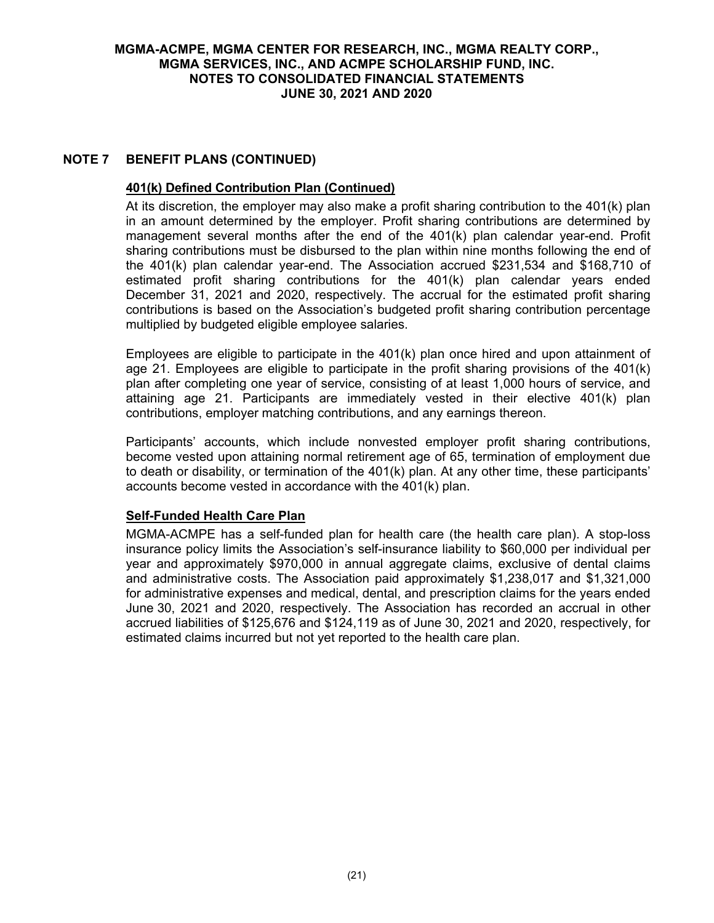# **NOTE 7 BENEFIT PLANS (CONTINUED)**

### **401(k) Defined Contribution Plan (Continued)**

At its discretion, the employer may also make a profit sharing contribution to the 401(k) plan in an amount determined by the employer. Profit sharing contributions are determined by management several months after the end of the 401(k) plan calendar year-end. Profit sharing contributions must be disbursed to the plan within nine months following the end of the 401(k) plan calendar year-end. The Association accrued \$231,534 and \$168,710 of estimated profit sharing contributions for the 401(k) plan calendar years ended December 31, 2021 and 2020, respectively. The accrual for the estimated profit sharing contributions is based on the Association's budgeted profit sharing contribution percentage multiplied by budgeted eligible employee salaries.

Employees are eligible to participate in the 401(k) plan once hired and upon attainment of age 21. Employees are eligible to participate in the profit sharing provisions of the 401(k) plan after completing one year of service, consisting of at least 1,000 hours of service, and attaining age 21. Participants are immediately vested in their elective 401(k) plan contributions, employer matching contributions, and any earnings thereon.

Participants' accounts, which include nonvested employer profit sharing contributions, become vested upon attaining normal retirement age of 65, termination of employment due to death or disability, or termination of the 401(k) plan. At any other time, these participants' accounts become vested in accordance with the 401(k) plan.

## **Self-Funded Health Care Plan**

MGMA-ACMPE has a self-funded plan for health care (the health care plan). A stop-loss insurance policy limits the Association's self-insurance liability to \$60,000 per individual per year and approximately \$970,000 in annual aggregate claims, exclusive of dental claims and administrative costs. The Association paid approximately \$1,238,017 and \$1,321,000 for administrative expenses and medical, dental, and prescription claims for the years ended June 30, 2021 and 2020, respectively. The Association has recorded an accrual in other accrued liabilities of \$125,676 and \$124,119 as of June 30, 2021 and 2020, respectively, for estimated claims incurred but not yet reported to the health care plan.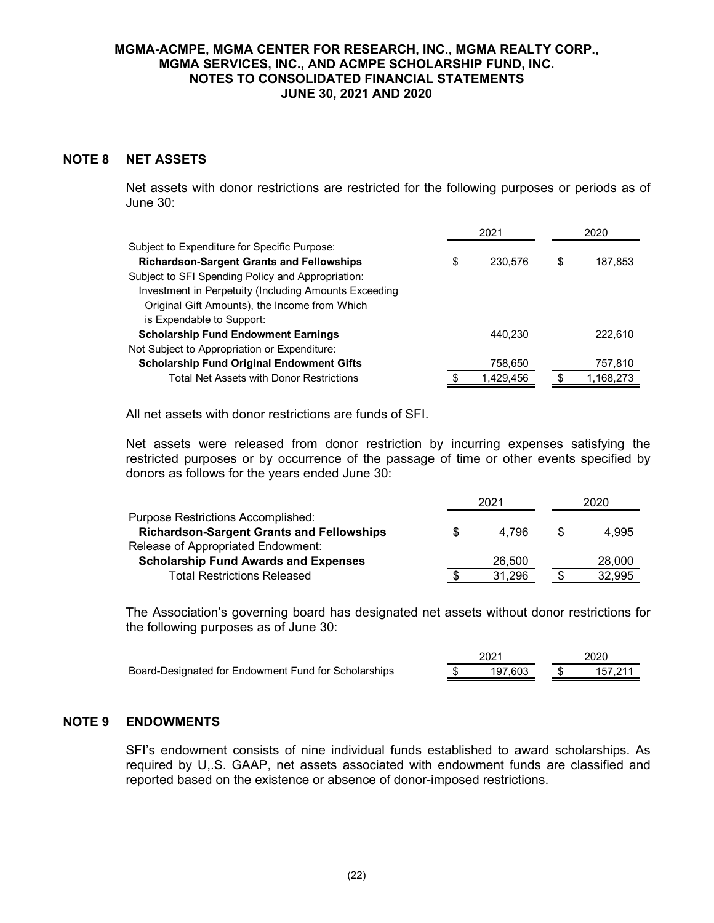## **NOTE 8 NET ASSETS**

Net assets with donor restrictions are restricted for the following purposes or periods as of June 30:

|                                                       | 2021          |   | 2020      |
|-------------------------------------------------------|---------------|---|-----------|
| Subject to Expenditure for Specific Purpose:          |               |   |           |
| <b>Richardson-Sargent Grants and Fellowships</b>      | \$<br>230.576 | S | 187,853   |
| Subject to SFI Spending Policy and Appropriation:     |               |   |           |
| Investment in Perpetuity (Including Amounts Exceeding |               |   |           |
| Original Gift Amounts), the Income from Which         |               |   |           |
| is Expendable to Support:                             |               |   |           |
| <b>Scholarship Fund Endowment Earnings</b>            | 440.230       |   | 222.610   |
| Not Subject to Appropriation or Expenditure:          |               |   |           |
| <b>Scholarship Fund Original Endowment Gifts</b>      | 758,650       |   | 757,810   |
| Total Net Assets with Donor Restrictions              | 1,429,456     |   | 1,168,273 |

All net assets with donor restrictions are funds of SFI.

Net assets were released from donor restriction by incurring expenses satisfying the restricted purposes or by occurrence of the passage of time or other events specified by donors as follows for the years ended June 30:

|                                                  |    | 2021   | 2020         |  |
|--------------------------------------------------|----|--------|--------------|--|
| <b>Purpose Restrictions Accomplished:</b>        |    |        |              |  |
| <b>Richardson-Sargent Grants and Fellowships</b> | £. | 4.796  | 4.995        |  |
| Release of Appropriated Endowment:               |    |        |              |  |
| <b>Scholarship Fund Awards and Expenses</b>      |    | 26,500 | 28,000       |  |
| <b>Total Restrictions Released</b>               |    | 31.296 | \$<br>32.995 |  |

The Association's governing board has designated net assets without donor restrictions for the following purposes as of June 30:

|                                                      |         | 2020    |
|------------------------------------------------------|---------|---------|
| Board-Designated for Endowment Fund for Scholarships | 197.603 | 157.211 |

## **NOTE 9 ENDOWMENTS**

SFI's endowment consists of nine individual funds established to award scholarships. As required by U,.S. GAAP, net assets associated with endowment funds are classified and reported based on the existence or absence of donor-imposed restrictions.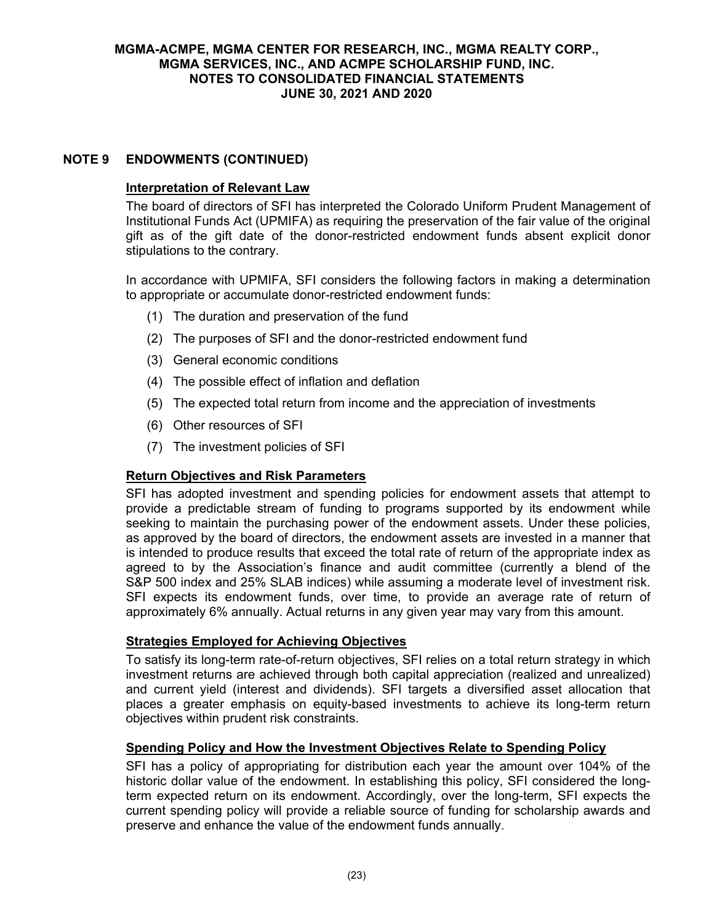# **NOTE 9 ENDOWMENTS (CONTINUED)**

## **Interpretation of Relevant Law**

The board of directors of SFI has interpreted the Colorado Uniform Prudent Management of Institutional Funds Act (UPMIFA) as requiring the preservation of the fair value of the original gift as of the gift date of the donor-restricted endowment funds absent explicit donor stipulations to the contrary.

In accordance with UPMIFA, SFI considers the following factors in making a determination to appropriate or accumulate donor-restricted endowment funds:

- (1) The duration and preservation of the fund
- (2) The purposes of SFI and the donor-restricted endowment fund
- (3) General economic conditions
- (4) The possible effect of inflation and deflation
- (5) The expected total return from income and the appreciation of investments
- (6) Other resources of SFI
- (7) The investment policies of SFI

# **Return Objectives and Risk Parameters**

SFI has adopted investment and spending policies for endowment assets that attempt to provide a predictable stream of funding to programs supported by its endowment while seeking to maintain the purchasing power of the endowment assets. Under these policies, as approved by the board of directors, the endowment assets are invested in a manner that is intended to produce results that exceed the total rate of return of the appropriate index as agreed to by the Association's finance and audit committee (currently a blend of the S&P 500 index and 25% SLAB indices) while assuming a moderate level of investment risk. SFI expects its endowment funds, over time, to provide an average rate of return of approximately 6% annually. Actual returns in any given year may vary from this amount.

## **Strategies Employed for Achieving Objectives**

To satisfy its long-term rate-of-return objectives, SFI relies on a total return strategy in which investment returns are achieved through both capital appreciation (realized and unrealized) and current yield (interest and dividends). SFI targets a diversified asset allocation that places a greater emphasis on equity-based investments to achieve its long-term return objectives within prudent risk constraints.

## **Spending Policy and How the Investment Objectives Relate to Spending Policy**

SFI has a policy of appropriating for distribution each year the amount over 104% of the historic dollar value of the endowment. In establishing this policy, SFI considered the longterm expected return on its endowment. Accordingly, over the long-term, SFI expects the current spending policy will provide a reliable source of funding for scholarship awards and preserve and enhance the value of the endowment funds annually.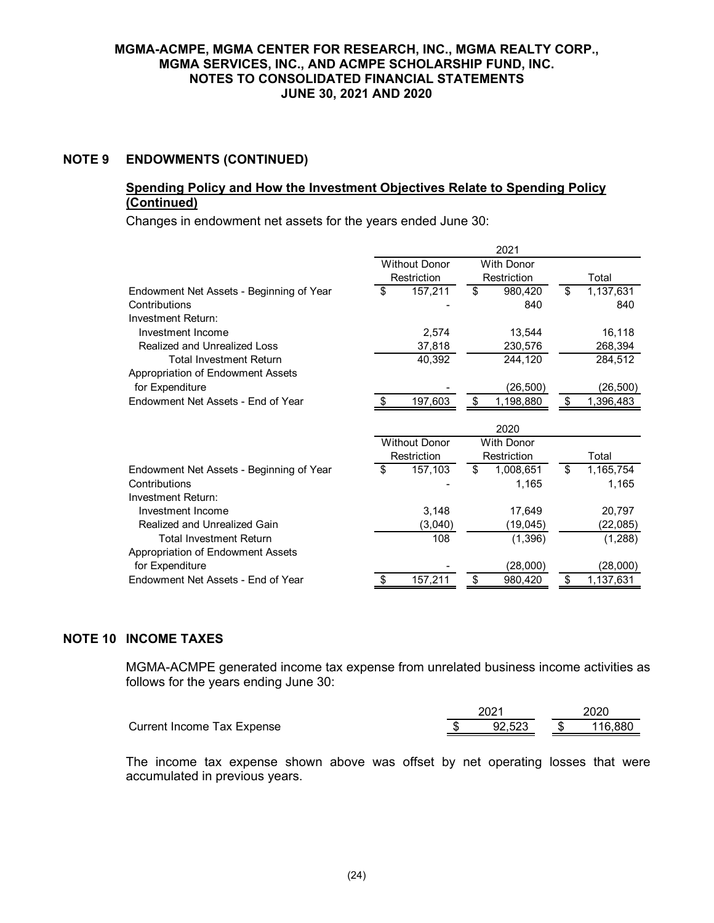# **NOTE 9 ENDOWMENTS (CONTINUED)**

## **Spending Policy and How the Investment Objectives Relate to Spending Policy (Continued)**

Changes in endowment net assets for the years ended June 30:

|                                           |                      | 2021              |       |           |  |
|-------------------------------------------|----------------------|-------------------|-------|-----------|--|
|                                           | <b>Without Donor</b> | <b>With Donor</b> |       |           |  |
|                                           | Restriction          | Restriction       | Total |           |  |
| Endowment Net Assets - Beginning of Year  | \$<br>157,211        | \$<br>980,420     | \$    | 1,137,631 |  |
| Contributions                             |                      | 840               |       | 840       |  |
| Investment Return:                        |                      |                   |       |           |  |
| Investment Income                         | 2,574                | 13,544            |       | 16,118    |  |
| Realized and Unrealized Loss              | 37,818               | 230,576           |       | 268,394   |  |
| <b>Total Investment Return</b>            | 40,392               | 244,120           |       | 284,512   |  |
| Appropriation of Endowment Assets         |                      |                   |       |           |  |
| for Expenditure                           |                      | (26, 500)         |       | (26,500)  |  |
| <b>Fndowment Net Assets - Fnd of Year</b> | \$<br>197,603        | \$<br>1,198,880   | \$    | 1,396,483 |  |
|                                           |                      |                   |       |           |  |
|                                           |                      | 2020              |       |           |  |
|                                           | <b>Without Donor</b> | <b>With Donor</b> |       |           |  |
|                                           | Restriction          | Restriction       |       | Total     |  |
| Endowment Net Assets - Beginning of Year  | \$<br>157,103        | \$<br>1,008,651   | \$    | 1,165,754 |  |
| Contributions                             |                      | 1,165             |       | 1,165     |  |
| Investment Return:                        |                      |                   |       |           |  |
| Investment Income                         | 3,148                | 17,649            |       | 20,797    |  |
| Realized and Unrealized Gain              | (3,040)              | (19,045)          |       | (22,085)  |  |
| <b>Total Investment Return</b>            | 108                  | (1, 396)          |       | (1,288)   |  |
| Appropriation of Endowment Assets         |                      |                   |       |           |  |
| for Expenditure                           |                      | (28,000)          |       | (28,000)  |  |
| Endowment Net Assets - End of Year        | \$<br>157,211        | \$<br>980,420     | \$    | 1,137,631 |  |

### **NOTE 10 INCOME TAXES**

MGMA-ACMPE generated income tax expense from unrelated business income activities as follows for the years ending June 30:

|                                   | 2021 |        |  |      | 2020    |  |  |
|-----------------------------------|------|--------|--|------|---------|--|--|
| <b>Current Income Tax Expense</b> |      | 92.523 |  | - SS | 116,880 |  |  |

The income tax expense shown above was offset by net operating losses that were accumulated in previous years.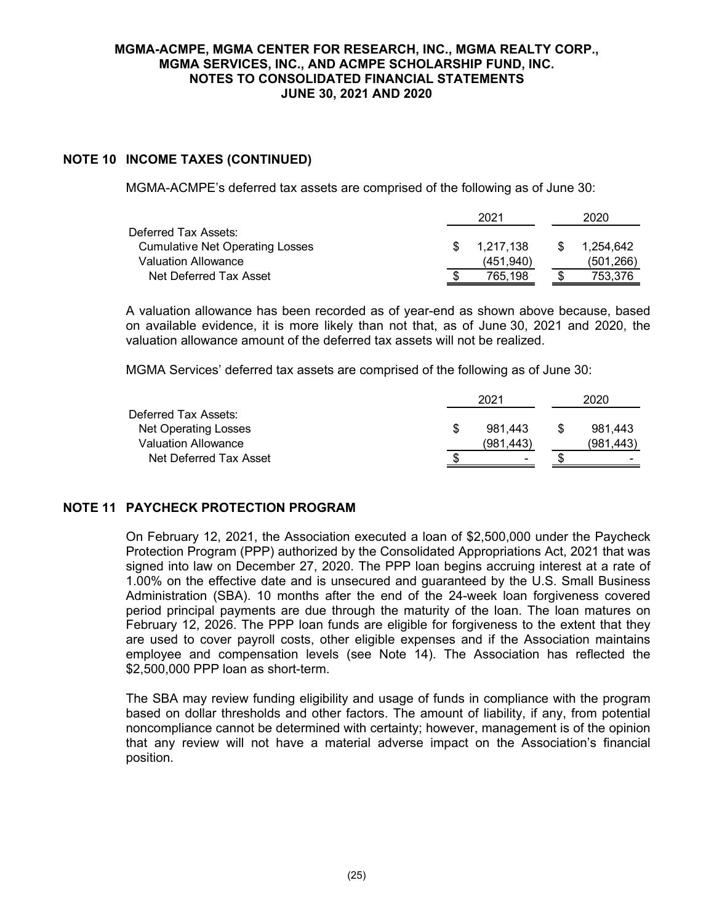# **NOTE 10 INCOME TAXES (CONTINUED)**

MGMA-ACMPE's deferred tax assets are comprised of the following as of June 30:

|                                        |     | 2021      |     | 2020       |
|----------------------------------------|-----|-----------|-----|------------|
| Deferred Tax Assets:                   |     |           |     |            |
| <b>Cumulative Net Operating Losses</b> | SS. | 1.217.138 | SS. | 1.254.642  |
| <b>Valuation Allowance</b>             |     | (451.940) |     | (501, 266) |
| Net Deferred Tax Asset                 |     | 765.198   |     | 753,376    |

A valuation allowance has been recorded as of year-end as shown above because, based on available evidence, it is more likely than not that, as of June 30, 2021 and 2020, the valuation allowance amount of the deferred tax assets will not be realized.

MGMA Services' deferred tax assets are comprised of the following as of June 30:

|                            |   | 2021      |  |           |  |
|----------------------------|---|-----------|--|-----------|--|
| Deferred Tax Assets:       |   |           |  |           |  |
| Net Operating Losses       |   | 981.443   |  | 981.443   |  |
| <b>Valuation Allowance</b> |   | (981.443) |  | (981,443) |  |
| Net Deferred Tax Asset     | S | -         |  | -         |  |

## **NOTE 11 PAYCHECK PROTECTION PROGRAM**

On February 12, 2021, the Association executed a loan of \$2,500,000 under the Paycheck Protection Program (PPP) authorized by the Consolidated Appropriations Act, 2021 that was signed into law on December 27, 2020. The PPP loan begins accruing interest at a rate of 1.00% on the effective date and is unsecured and guaranteed by the U.S. Small Business Administration (SBA). 10 months after the end of the 24-week loan forgiveness covered period principal payments are due through the maturity of the loan. The loan matures on February 12, 2026. The PPP loan funds are eligible for forgiveness to the extent that they are used to cover payroll costs, other eligible expenses and if the Association maintains employee and compensation levels (see Note 14). The Association has reflected the \$2,500,000 PPP loan as short-term.

The SBA may review funding eligibility and usage of funds in compliance with the program based on dollar thresholds and other factors. The amount of liability, if any, from potential noncompliance cannot be determined with certainty; however, management is of the opinion that any review will not have a material adverse impact on the Association's financial position.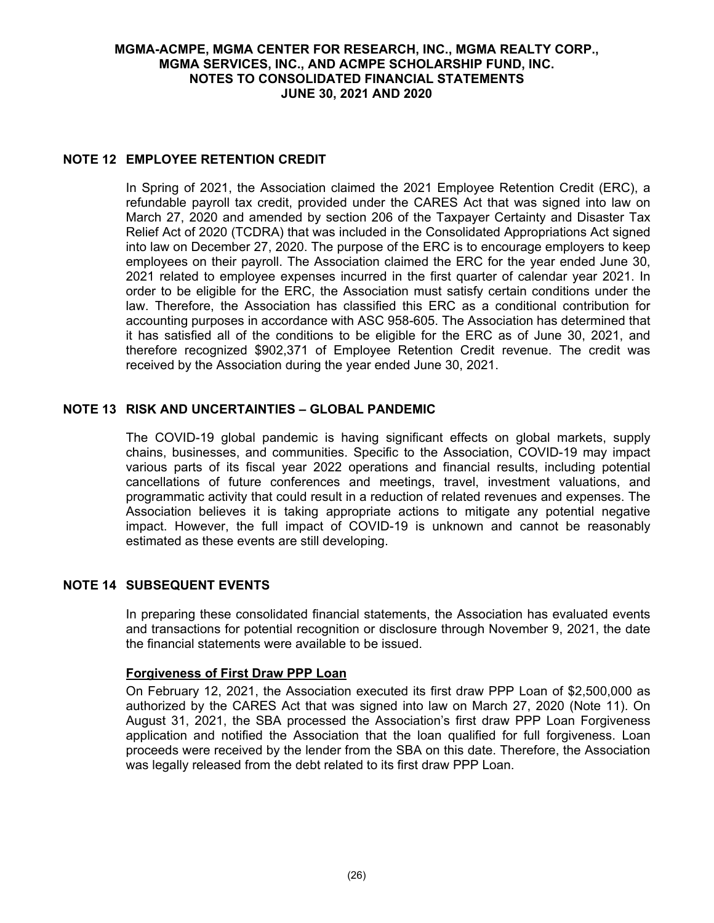# **NOTE 12 EMPLOYEE RETENTION CREDIT**

In Spring of 2021, the Association claimed the 2021 Employee Retention Credit (ERC), a refundable payroll tax credit, provided under the CARES Act that was signed into law on March 27, 2020 and amended by section 206 of the Taxpayer Certainty and Disaster Tax Relief Act of 2020 (TCDRA) that was included in the Consolidated Appropriations Act signed into law on December 27, 2020. The purpose of the ERC is to encourage employers to keep employees on their payroll. The Association claimed the ERC for the year ended June 30, 2021 related to employee expenses incurred in the first quarter of calendar year 2021. In order to be eligible for the ERC, the Association must satisfy certain conditions under the law. Therefore, the Association has classified this ERC as a conditional contribution for accounting purposes in accordance with ASC 958-605. The Association has determined that it has satisfied all of the conditions to be eligible for the ERC as of June 30, 2021, and therefore recognized \$902,371 of Employee Retention Credit revenue. The credit was received by the Association during the year ended June 30, 2021.

## **NOTE 13 RISK AND UNCERTAINTIES – GLOBAL PANDEMIC**

The COVID-19 global pandemic is having significant effects on global markets, supply chains, businesses, and communities. Specific to the Association, COVID-19 may impact various parts of its fiscal year 2022 operations and financial results, including potential cancellations of future conferences and meetings, travel, investment valuations, and programmatic activity that could result in a reduction of related revenues and expenses. The Association believes it is taking appropriate actions to mitigate any potential negative impact. However, the full impact of COVID-19 is unknown and cannot be reasonably estimated as these events are still developing.

## **NOTE 14 SUBSEQUENT EVENTS**

In preparing these consolidated financial statements, the Association has evaluated events and transactions for potential recognition or disclosure through November 9, 2021, the date the financial statements were available to be issued.

## **Forgiveness of First Draw PPP Loan**

On February 12, 2021, the Association executed its first draw PPP Loan of \$2,500,000 as authorized by the CARES Act that was signed into law on March 27, 2020 (Note 11). On August 31, 2021, the SBA processed the Association's first draw PPP Loan Forgiveness application and notified the Association that the loan qualified for full forgiveness. Loan proceeds were received by the lender from the SBA on this date. Therefore, the Association was legally released from the debt related to its first draw PPP Loan.